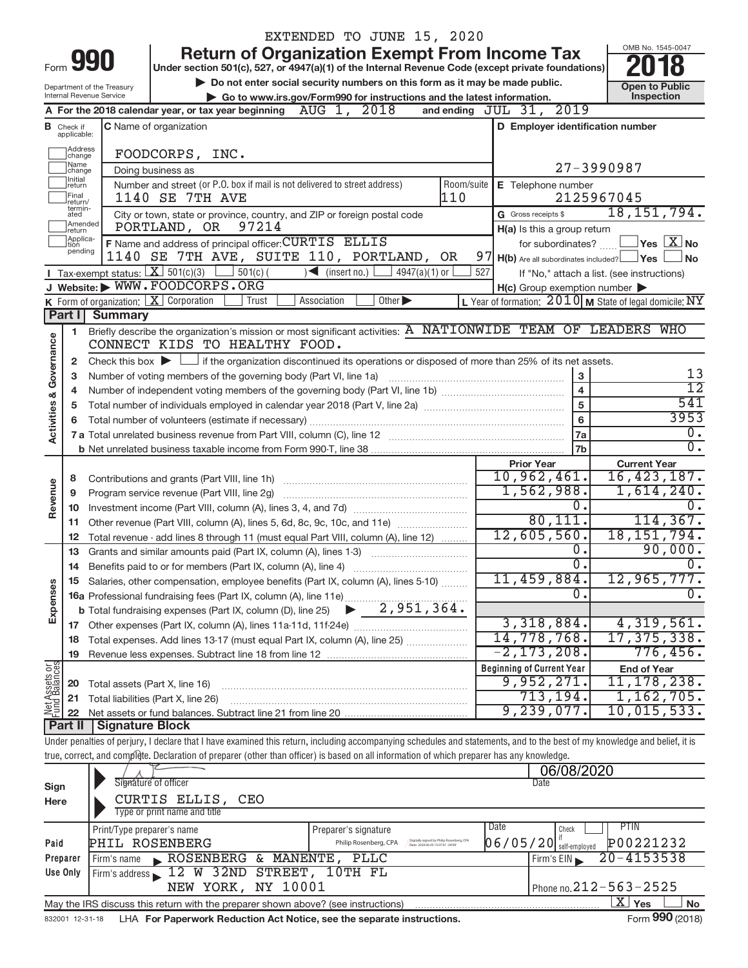|                                                                                                                                            |                             |                                       |                                                                                                                                                                            | EXTENDED TO JUNE 15, 2020                                                                                            |                   |                                                         |                                                                    |
|--------------------------------------------------------------------------------------------------------------------------------------------|-----------------------------|---------------------------------------|----------------------------------------------------------------------------------------------------------------------------------------------------------------------------|----------------------------------------------------------------------------------------------------------------------|-------------------|---------------------------------------------------------|--------------------------------------------------------------------|
|                                                                                                                                            |                             | 990                                   |                                                                                                                                                                            | <b>Return of Organization Exempt From Income Tax</b>                                                                 |                   |                                                         | OMB No. 1545-0047                                                  |
| Form                                                                                                                                       |                             |                                       | Under section 501(c), 527, or 4947(a)(1) of the Internal Revenue Code (except private foundations)                                                                         |                                                                                                                      |                   |                                                         |                                                                    |
|                                                                                                                                            |                             | Department of the Treasury            |                                                                                                                                                                            | Do not enter social security numbers on this form as it may be made public.                                          |                   |                                                         | <b>Open to Public</b>                                              |
|                                                                                                                                            |                             | Internal Revenue Service              | Go to www.irs.gov/Form990 for instructions and the latest information.<br>and ending JUL 31, 2019                                                                          | Inspection                                                                                                           |                   |                                                         |                                                                    |
|                                                                                                                                            | <b>B</b> Check if           |                                       | A For the 2018 calendar year, or tax year beginning $\Delta U G$ 1, $2018$<br>C Name of organization                                                                       |                                                                                                                      |                   | D Employer identification number                        |                                                                    |
|                                                                                                                                            | applicable:                 |                                       |                                                                                                                                                                            |                                                                                                                      |                   |                                                         |                                                                    |
|                                                                                                                                            | Address<br>change           |                                       | FOODCORPS, INC.                                                                                                                                                            |                                                                                                                      |                   |                                                         |                                                                    |
|                                                                                                                                            | Name<br>change              |                                       | Doing business as                                                                                                                                                          |                                                                                                                      | 27-3990987        |                                                         |                                                                    |
|                                                                                                                                            | Initial<br>return           |                                       | Number and street (or P.O. box if mail is not delivered to street address)                                                                                                 |                                                                                                                      | Room/suite        | E Telephone number                                      |                                                                    |
|                                                                                                                                            | Final<br>return/<br>termin- |                                       | <b>1140 SE 7TH AVE</b>                                                                                                                                                     |                                                                                                                      | 110               |                                                         | 2125967045                                                         |
|                                                                                                                                            | ated<br>Amended             |                                       | City or town, state or province, country, and ZIP or foreign postal code<br>97214<br>PORTLAND, OR                                                                          |                                                                                                                      |                   | G Gross receipts \$                                     | 18, 151, 794.                                                      |
|                                                                                                                                            | return<br>Applica-<br>tion  |                                       | F Name and address of principal officer: CURTIS ELLIS                                                                                                                      |                                                                                                                      |                   | H(a) Is this a group return<br>for subordinates? $\Box$ | $\sqrt{\mathsf{Yes}\mathord{\;\mathbb{X}}\mathord{\;\mathsf{No}}}$ |
|                                                                                                                                            | pending                     |                                       | 1140 SE 7TH AVE, SUITE 110, PORTLAND, OR                                                                                                                                   |                                                                                                                      |                   | $97$ H(b) Are all subordinates included? $\Box$ Yes     | l No                                                               |
|                                                                                                                                            |                             | Tax-exempt status: $X \mid 501(c)(3)$ | $501(c)$ (                                                                                                                                                                 | $\sum$ (insert no.)<br>$4947(a)(1)$ or                                                                               | 527               |                                                         | If "No," attach a list. (see instructions)                         |
|                                                                                                                                            |                             |                                       | J Website: WWW.FOODCORPS.ORG                                                                                                                                               |                                                                                                                      |                   | $H(c)$ Group exemption number $\blacktriangleright$     |                                                                    |
|                                                                                                                                            |                             |                                       | K Form of organization: $X$ Corporation<br>Trust                                                                                                                           | Other ><br>Association                                                                                               |                   |                                                         | L Year of formation: $2010$ M State of legal domicile: NY          |
|                                                                                                                                            |                             | Part I Summary                        |                                                                                                                                                                            |                                                                                                                      |                   |                                                         |                                                                    |
| <b>Activities &amp; Governance</b>                                                                                                         | 1                           |                                       | Briefly describe the organization's mission or most significant activities: A NATIONWIDE TEAM OF LEADERS WHO<br>CONNECT KIDS TO HEALTHY FOOD.                              |                                                                                                                      |                   |                                                         |                                                                    |
|                                                                                                                                            | 2                           |                                       | Check this box $\blacktriangleright$ $\Box$ if the organization discontinued its operations or disposed of more than 25% of its net assets.                                |                                                                                                                      |                   |                                                         |                                                                    |
|                                                                                                                                            | 3<br>4                      |                                       | Number of voting members of the governing body (Part VI, line 1a)                                                                                                          |                                                                                                                      |                   | $\mathbf 3$<br>$\overline{4}$                           | 13<br>$\overline{12}$                                              |
|                                                                                                                                            | 5                           |                                       |                                                                                                                                                                            |                                                                                                                      |                   | 5                                                       | 541                                                                |
|                                                                                                                                            |                             |                                       | 3953                                                                                                                                                                       |                                                                                                                      |                   |                                                         |                                                                    |
|                                                                                                                                            |                             |                                       |                                                                                                                                                                            |                                                                                                                      |                   | 7a                                                      | 0.                                                                 |
|                                                                                                                                            |                             |                                       |                                                                                                                                                                            |                                                                                                                      |                   | 7b                                                      | σ.                                                                 |
|                                                                                                                                            |                             |                                       |                                                                                                                                                                            |                                                                                                                      | <b>Prior Year</b> | <b>Current Year</b>                                     |                                                                    |
|                                                                                                                                            | 8                           |                                       |                                                                                                                                                                            |                                                                                                                      |                   | 10,962,461.<br>1,562,988.                               | 16, 423, 187.<br>1,614,240.                                        |
| Revenue                                                                                                                                    | 9                           |                                       | Program service revenue (Part VIII, line 2g)                                                                                                                               |                                                                                                                      | 0.                |                                                         |                                                                    |
|                                                                                                                                            | 10<br>11                    |                                       | Other revenue (Part VIII, column (A), lines 5, 6d, 8c, 9c, 10c, and 11e)                                                                                                   |                                                                                                                      |                   | 80,111.                                                 | 114, 367.                                                          |
|                                                                                                                                            | 12                          |                                       | Total revenue - add lines 8 through 11 (must equal Part VIII, column (A), line 12)                                                                                         |                                                                                                                      |                   | 12,605,560.                                             | 18, 151, 794.                                                      |
|                                                                                                                                            | 13                          |                                       | Grants and similar amounts paid (Part IX, column (A), lines 1-3)                                                                                                           | <u> 1986 - Johann Stoff, deutscher Stoff, deutscher Stoff, deutscher Stoff, deutscher Stoff, deutscher Stoff, de</u> |                   | 0.                                                      | 90,000.                                                            |
|                                                                                                                                            | 14                          |                                       | Benefits paid to or for members (Part IX, column (A), line 4)                                                                                                              |                                                                                                                      |                   | $\overline{0}$ .                                        | $\overline{0}$ .                                                   |
|                                                                                                                                            |                             |                                       | Salaries, other compensation, employee benefits (Part IX, column (A), lines 5-10)                                                                                          |                                                                                                                      | $11,459,884$ .    | 12,965,777 <b>.</b>                                     |                                                                    |
| Expenses                                                                                                                                   |                             |                                       |                                                                                                                                                                            |                                                                                                                      |                   | 0.                                                      | $\overline{0}$ .                                                   |
|                                                                                                                                            | 17                          |                                       |                                                                                                                                                                            |                                                                                                                      |                   | 3,318,884.                                              | 4,319,561.                                                         |
|                                                                                                                                            | 18                          |                                       | Total expenses. Add lines 13-17 (must equal Part IX, column (A), line 25) [                                                                                                |                                                                                                                      |                   | 14,778,768.                                             | 17, 375, 338.                                                      |
|                                                                                                                                            | 19                          |                                       |                                                                                                                                                                            |                                                                                                                      |                   | $-2, 173, 208.$                                         | 776,456.                                                           |
| Net Assets or<br>Fund Balances                                                                                                             |                             |                                       |                                                                                                                                                                            |                                                                                                                      |                   | <b>Beginning of Current Year</b>                        | <b>End of Year</b>                                                 |
|                                                                                                                                            | 20                          |                                       | Total assets (Part X, line 16)                                                                                                                                             |                                                                                                                      |                   | 9,952,271.                                              | 11, 178, 238.                                                      |
|                                                                                                                                            | 21                          |                                       | Total liabilities (Part X, line 26)                                                                                                                                        |                                                                                                                      |                   | 713,194.<br>9,239,077.                                  | 1,162,705.<br>10,015,533.                                          |
|                                                                                                                                            | 22<br>Part II               | Signature Block                       |                                                                                                                                                                            |                                                                                                                      |                   |                                                         |                                                                    |
|                                                                                                                                            |                             |                                       | Under penalties of perjury, I declare that I have examined this return, including accompanying schedules and statements, and to the best of my knowledge and belief, it is |                                                                                                                      |                   |                                                         |                                                                    |
| true, correct, and complete. Declaration of preparer (other than officer) is based on all information of which preparer has any knowledge. |                             |                                       |                                                                                                                                                                            |                                                                                                                      |                   |                                                         |                                                                    |
|                                                                                                                                            |                             |                                       |                                                                                                                                                                            |                                                                                                                      |                   | 06/08/2020                                              |                                                                    |
| Sign                                                                                                                                       |                             |                                       | Signature of officer<br>CURTIS ELLIS, CEO                                                                                                                                  |                                                                                                                      |                   | Date                                                    |                                                                    |
| Here                                                                                                                                       |                             | Type or print name and title          |                                                                                                                                                                            |                                                                                                                      |                   |                                                         |                                                                    |
|                                                                                                                                            |                             | Print/Type preparer's name            |                                                                                                                                                                            | Preparer's signature                                                                                                 |                   | Date<br>Check                                           | PTIN                                                               |
| Paid                                                                                                                                       |                             |                                       | PHIL ROSENBERG                                                                                                                                                             | Digitally signed by Philip Rosenbe<br>Date: 2020.06.05 15:07:01 -04'00'<br>Philip Rosenberg, CPA                     |                   | $06/05/20$ self-employed                                | P00221232                                                          |
| Preparer                                                                                                                                   |                             | Firm's name                           | $20 - 4153538$                                                                                                                                                             |                                                                                                                      |                   |                                                         |                                                                    |
|                                                                                                                                            | Use Only                    |                                       | ROSENBERG & MANENTE, PLLC<br>Firm's address 12 W 32ND STREET, 10TH FL                                                                                                      |                                                                                                                      |                   | Firm's EIN                                              |                                                                    |
|                                                                                                                                            |                             |                                       | NEW YORK, NY 10001                                                                                                                                                         |                                                                                                                      |                   |                                                         | Phone no. 212 - 563 - 2525                                         |

| May the IRS discuss this return with the preparer shown above? (see instructions)      | Ylyes<br>. ∡⊾ 1 | No              |
|----------------------------------------------------------------------------------------|-----------------|-----------------|
| 832001 12-31-18 LHA For Paperwork Reduction Act Notice, see the separate instructions. |                 | Form 990 (2018) |

 $X$  Yes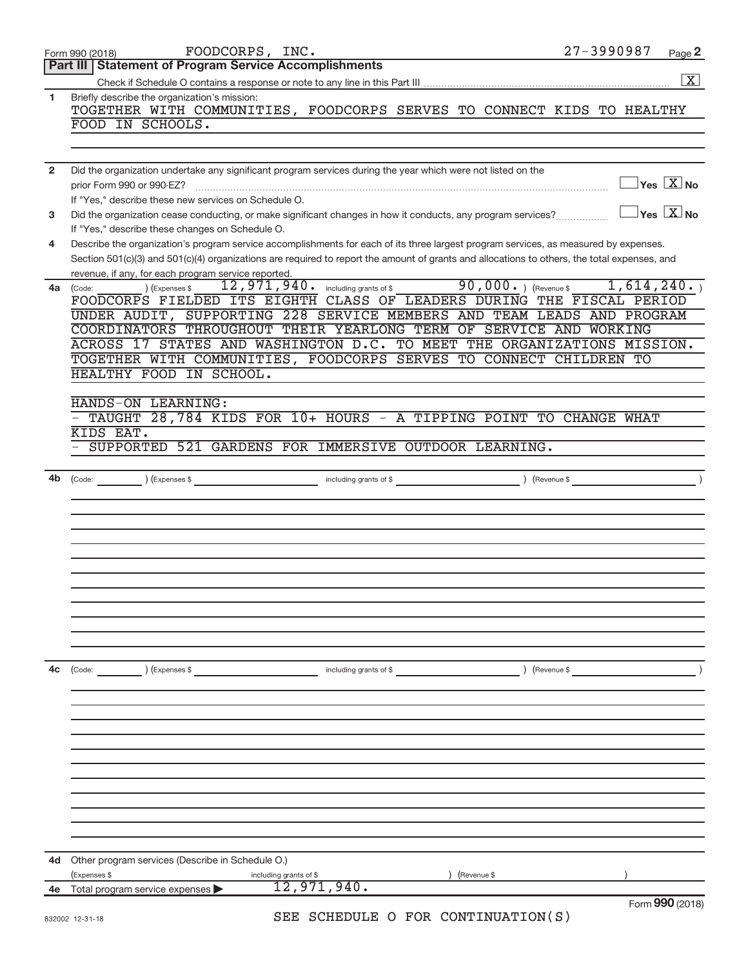|                | FOODCORPS, INC.<br>Form 990 (2018)                                                                                                                                                                                                                                                   | 27-3990987 |                                  | Page 2          |
|----------------|--------------------------------------------------------------------------------------------------------------------------------------------------------------------------------------------------------------------------------------------------------------------------------------|------------|----------------------------------|-----------------|
|                | Part III   Statement of Program Service Accomplishments                                                                                                                                                                                                                              |            |                                  |                 |
|                |                                                                                                                                                                                                                                                                                      |            |                                  | $\vert X \vert$ |
| 1              | Briefly describe the organization's mission:<br>TOGETHER WITH COMMUNITIES, FOODCORPS SERVES TO CONNECT KIDS TO HEALTHY                                                                                                                                                               |            |                                  |                 |
|                | FOOD IN SCHOOLS.                                                                                                                                                                                                                                                                     |            |                                  |                 |
|                |                                                                                                                                                                                                                                                                                      |            |                                  |                 |
| $\overline{2}$ | Did the organization undertake any significant program services during the year which were not listed on the                                                                                                                                                                         |            |                                  |                 |
|                | prior Form 990 or 990-EZ?<br>If "Yes," describe these new services on Schedule O.                                                                                                                                                                                                    |            | $\Box$ Yes $\boxed{\text{X}}$ No |                 |
| 3              | Did the organization cease conducting, or make significant changes in how it conducts, any program services?                                                                                                                                                                         |            | $\Box$ Yes $\boxed{\text{X}}$ No |                 |
|                | If "Yes," describe these changes on Schedule O.                                                                                                                                                                                                                                      |            |                                  |                 |
| 4              | Describe the organization's program service accomplishments for each of its three largest program services, as measured by expenses.<br>Section 501(c)(3) and 501(c)(4) organizations are required to report the amount of grants and allocations to others, the total expenses, and |            |                                  |                 |
|                | revenue, if any, for each program service reported.                                                                                                                                                                                                                                  |            |                                  |                 |
| 4a             | $\frac{1}{12}$ , 971, 940. including grants of \$90,000.) (Revenue \$1, 614, 240.)<br>) (Expenses \$<br>(Code:                                                                                                                                                                       |            |                                  |                 |
|                | FOODCORPS FIELDED ITS EIGHTH CLASS OF LEADERS DURING THE FISCAL PERIOD                                                                                                                                                                                                               |            |                                  |                 |
|                | UNDER AUDIT, SUPPORTING 228 SERVICE MEMBERS AND TEAM LEADS AND PROGRAM                                                                                                                                                                                                               |            |                                  |                 |
|                | COORDINATORS THROUGHOUT THEIR YEARLONG TERM OF SERVICE AND WORKING                                                                                                                                                                                                                   |            |                                  |                 |
|                | ACROSS 17 STATES AND WASHINGTON D.C. TO MEET THE ORGANIZATIONS MISSION.                                                                                                                                                                                                              |            |                                  |                 |
|                | TOGETHER WITH COMMUNITIES, FOODCORPS SERVES TO CONNECT CHILDREN TO<br>HEALTHY FOOD IN SCHOOL.                                                                                                                                                                                        |            |                                  |                 |
|                |                                                                                                                                                                                                                                                                                      |            |                                  |                 |
|                | HANDS-ON LEARNING:                                                                                                                                                                                                                                                                   |            |                                  |                 |
|                | TAUGHT 28,784 KIDS FOR 10+ HOURS - A TIPPING POINT TO CHANGE WHAT                                                                                                                                                                                                                    |            |                                  |                 |
|                | KIDS EAT.                                                                                                                                                                                                                                                                            |            |                                  |                 |
|                | - SUPPORTED 521 GARDENS FOR IMMERSIVE OUTDOOR LEARNING.                                                                                                                                                                                                                              |            |                                  |                 |
|                |                                                                                                                                                                                                                                                                                      |            |                                  |                 |
| 4b             |                                                                                                                                                                                                                                                                                      |            |                                  |                 |
|                |                                                                                                                                                                                                                                                                                      |            |                                  |                 |
|                |                                                                                                                                                                                                                                                                                      |            |                                  |                 |
|                |                                                                                                                                                                                                                                                                                      |            |                                  |                 |
|                |                                                                                                                                                                                                                                                                                      |            |                                  |                 |
|                |                                                                                                                                                                                                                                                                                      |            |                                  |                 |
|                |                                                                                                                                                                                                                                                                                      |            |                                  |                 |
|                |                                                                                                                                                                                                                                                                                      |            |                                  |                 |
|                |                                                                                                                                                                                                                                                                                      |            |                                  |                 |
|                |                                                                                                                                                                                                                                                                                      |            |                                  |                 |
|                |                                                                                                                                                                                                                                                                                      |            |                                  |                 |
|                |                                                                                                                                                                                                                                                                                      |            |                                  |                 |
| 4c             | (Expenses \$<br>(Revenue \$<br>$\left(\text{Code:}\right)$<br>including grants of \$                                                                                                                                                                                                 |            |                                  |                 |
|                |                                                                                                                                                                                                                                                                                      |            |                                  |                 |
|                |                                                                                                                                                                                                                                                                                      |            |                                  |                 |
|                |                                                                                                                                                                                                                                                                                      |            |                                  |                 |
|                |                                                                                                                                                                                                                                                                                      |            |                                  |                 |
|                |                                                                                                                                                                                                                                                                                      |            |                                  |                 |
|                |                                                                                                                                                                                                                                                                                      |            |                                  |                 |
|                |                                                                                                                                                                                                                                                                                      |            |                                  |                 |
|                |                                                                                                                                                                                                                                                                                      |            |                                  |                 |
|                |                                                                                                                                                                                                                                                                                      |            |                                  |                 |
|                |                                                                                                                                                                                                                                                                                      |            |                                  |                 |
|                |                                                                                                                                                                                                                                                                                      |            |                                  |                 |
| 4d             | Other program services (Describe in Schedule O.)                                                                                                                                                                                                                                     |            |                                  |                 |
|                | (Expenses \$<br>(Revenue \$<br>including grants of \$<br>12,971,940.                                                                                                                                                                                                                 |            |                                  |                 |
| 4е             | Total program service expenses                                                                                                                                                                                                                                                       |            |                                  | Form 990 (2018) |
|                | SEE SCHEDULE O FOR CONTINUATION(S)<br>832002 12-31-18                                                                                                                                                                                                                                |            |                                  |                 |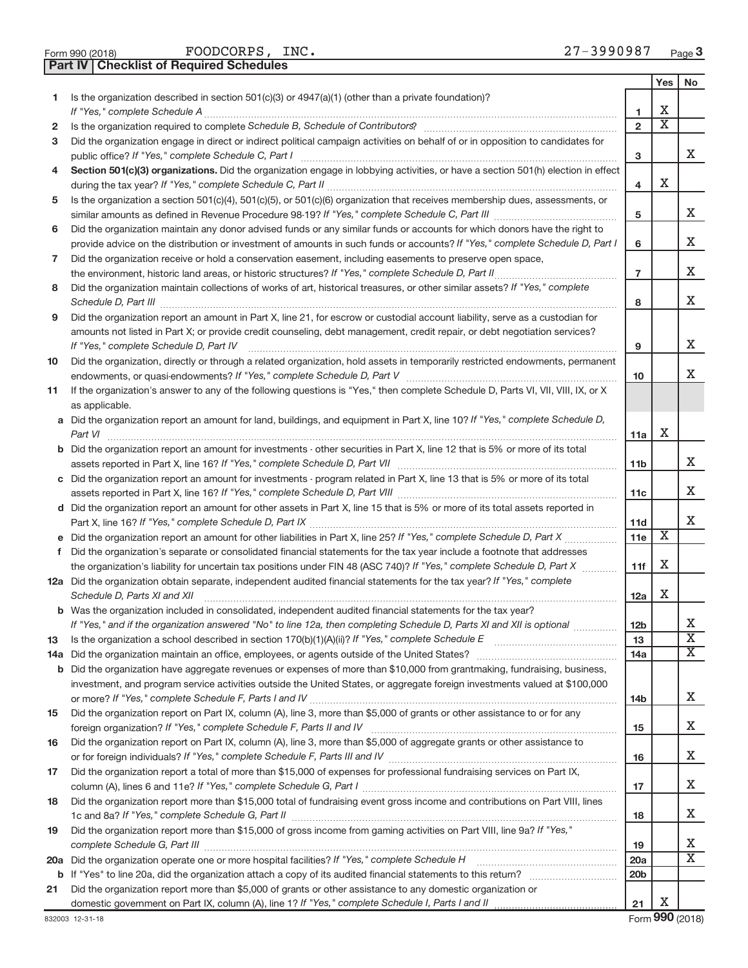| Form 990 (2018) |  |  |
|-----------------|--|--|
|                 |  |  |

FOODCORPS, INC. 27-3990987

**Part IV Checklist of Required Schedules**

|              |                                                                                                                                                                                                                                                   |                 | Yes | No                      |
|--------------|---------------------------------------------------------------------------------------------------------------------------------------------------------------------------------------------------------------------------------------------------|-----------------|-----|-------------------------|
| 1.           | Is the organization described in section $501(c)(3)$ or $4947(a)(1)$ (other than a private foundation)?                                                                                                                                           |                 | х   |                         |
|              |                                                                                                                                                                                                                                                   | 1               | X   |                         |
| $\mathbf{2}$ | Is the organization required to complete Schedule B, Schedule of Contributors? [11] the organization required to complete Schedule B, Schedule of Contributors?                                                                                   | $\overline{2}$  |     |                         |
| 3            | Did the organization engage in direct or indirect political campaign activities on behalf of or in opposition to candidates for                                                                                                                   |                 |     | x                       |
|              | Section 501(c)(3) organizations. Did the organization engage in lobbying activities, or have a section 501(h) election in effect                                                                                                                  | з               |     |                         |
| 4            |                                                                                                                                                                                                                                                   | 4               | х   |                         |
| 5            | Is the organization a section 501(c)(4), 501(c)(5), or 501(c)(6) organization that receives membership dues, assessments, or                                                                                                                      |                 |     |                         |
|              |                                                                                                                                                                                                                                                   | 5               |     | x                       |
| 6            | Did the organization maintain any donor advised funds or any similar funds or accounts for which donors have the right to                                                                                                                         |                 |     |                         |
|              | provide advice on the distribution or investment of amounts in such funds or accounts? If "Yes," complete Schedule D, Part I                                                                                                                      | 6               |     | x                       |
| 7            | Did the organization receive or hold a conservation easement, including easements to preserve open space,                                                                                                                                         |                 |     |                         |
|              |                                                                                                                                                                                                                                                   | $\overline{7}$  |     | х                       |
| 8            | Did the organization maintain collections of works of art, historical treasures, or other similar assets? If "Yes," complete                                                                                                                      |                 |     |                         |
|              |                                                                                                                                                                                                                                                   | 8               |     | x                       |
| 9            | Did the organization report an amount in Part X, line 21, for escrow or custodial account liability, serve as a custodian for                                                                                                                     |                 |     |                         |
|              | amounts not listed in Part X; or provide credit counseling, debt management, credit repair, or debt negotiation services?                                                                                                                         |                 |     |                         |
|              | If "Yes," complete Schedule D, Part IV                                                                                                                                                                                                            | 9               |     | x                       |
| 10           | Did the organization, directly or through a related organization, hold assets in temporarily restricted endowments, permanent                                                                                                                     |                 |     |                         |
|              |                                                                                                                                                                                                                                                   | 10              |     | x                       |
| 11           | If the organization's answer to any of the following questions is "Yes," then complete Schedule D, Parts VI, VII, VIII, IX, or X                                                                                                                  |                 |     |                         |
|              | as applicable.                                                                                                                                                                                                                                    |                 |     |                         |
|              | a Did the organization report an amount for land, buildings, and equipment in Part X, line 10? If "Yes," complete Schedule D,                                                                                                                     |                 |     |                         |
|              | Part VI                                                                                                                                                                                                                                           | 11a             | х   |                         |
|              | <b>b</b> Did the organization report an amount for investments - other securities in Part X, line 12 that is 5% or more of its total                                                                                                              |                 |     |                         |
|              |                                                                                                                                                                                                                                                   | 11 <sub>b</sub> |     | х                       |
|              | c Did the organization report an amount for investments - program related in Part X, line 13 that is 5% or more of its total                                                                                                                      |                 |     |                         |
|              |                                                                                                                                                                                                                                                   | 11c             |     | x                       |
|              | d Did the organization report an amount for other assets in Part X, line 15 that is 5% or more of its total assets reported in                                                                                                                    |                 |     | x                       |
|              |                                                                                                                                                                                                                                                   | 11d             | X   |                         |
|              |                                                                                                                                                                                                                                                   | 11e             |     |                         |
| f            | Did the organization's separate or consolidated financial statements for the tax year include a footnote that addresses<br>the organization's liability for uncertain tax positions under FIN 48 (ASC 740)? If "Yes," complete Schedule D, Part X | 11f             | х   |                         |
|              | 12a Did the organization obtain separate, independent audited financial statements for the tax year? If "Yes," complete                                                                                                                           |                 |     |                         |
|              | Schedule D, Parts XI and XII                                                                                                                                                                                                                      | 12a             | х   |                         |
|              | <b>b</b> Was the organization included in consolidated, independent audited financial statements for the tax year?                                                                                                                                |                 |     |                         |
|              | If "Yes," and if the organization answered "No" to line 12a, then completing Schedule D, Parts XI and XII is optional <i>manum</i>                                                                                                                | <b>12b</b>      |     | х                       |
| 13           |                                                                                                                                                                                                                                                   | 13              |     | $\overline{\mathbf{X}}$ |
|              |                                                                                                                                                                                                                                                   | 14a             |     | Χ                       |
|              | <b>b</b> Did the organization have aggregate revenues or expenses of more than \$10,000 from grantmaking, fundraising, business,                                                                                                                  |                 |     |                         |
|              | investment, and program service activities outside the United States, or aggregate foreign investments valued at \$100,000                                                                                                                        |                 |     |                         |
|              |                                                                                                                                                                                                                                                   | 14 <sub>b</sub> |     | х                       |
| 15           | Did the organization report on Part IX, column (A), line 3, more than \$5,000 of grants or other assistance to or for any                                                                                                                         |                 |     |                         |
|              |                                                                                                                                                                                                                                                   | 15              |     | х                       |
| 16           | Did the organization report on Part IX, column (A), line 3, more than \$5,000 of aggregate grants or other assistance to                                                                                                                          |                 |     |                         |
|              |                                                                                                                                                                                                                                                   | 16              |     | х                       |
| 17           | Did the organization report a total of more than \$15,000 of expenses for professional fundraising services on Part IX,                                                                                                                           |                 |     |                         |
|              |                                                                                                                                                                                                                                                   | 17              |     | х                       |
| 18           | Did the organization report more than \$15,000 total of fundraising event gross income and contributions on Part VIII, lines                                                                                                                      |                 |     |                         |
|              |                                                                                                                                                                                                                                                   | 18              |     | х                       |
| 19           | Did the organization report more than \$15,000 of gross income from gaming activities on Part VIII, line 9a? If "Yes,"                                                                                                                            |                 |     |                         |
|              |                                                                                                                                                                                                                                                   | 19              |     | x<br>Х                  |
|              |                                                                                                                                                                                                                                                   | 20a             |     |                         |
|              |                                                                                                                                                                                                                                                   | 20 <sub>b</sub> |     |                         |
| 21           | Did the organization report more than \$5,000 of grants or other assistance to any domestic organization or                                                                                                                                       | 21              | х   |                         |
|              |                                                                                                                                                                                                                                                   |                 |     |                         |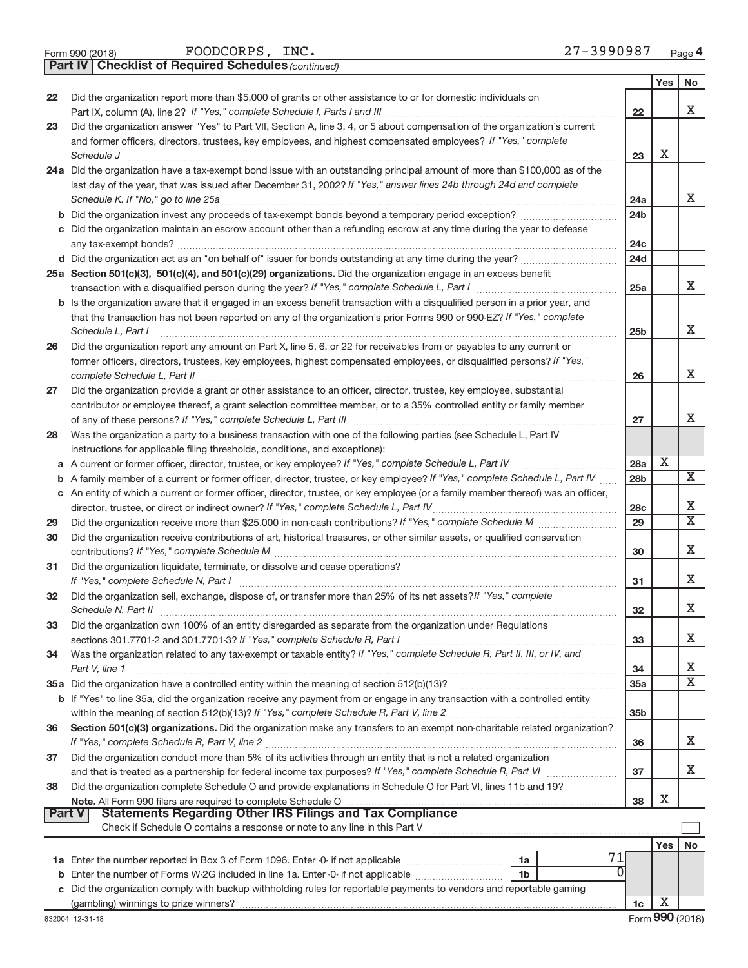| Form 990 (2018) |  |  |
|-----------------|--|--|
|                 |  |  |

*(continued)* **Part IV Checklist of Required Schedules**

|               |                                                                                                                                                                                                                                                 |                 | Yes | No                      |
|---------------|-------------------------------------------------------------------------------------------------------------------------------------------------------------------------------------------------------------------------------------------------|-----------------|-----|-------------------------|
| 22            | Did the organization report more than \$5,000 of grants or other assistance to or for domestic individuals on                                                                                                                                   |                 |     |                         |
|               | Part IX, column (A), line 2? If "Yes," complete Schedule I, Parts I and III [11]] [11]] [11] [11] [11] [11] [1                                                                                                                                  | 22              |     | x                       |
| 23            | Did the organization answer "Yes" to Part VII, Section A, line 3, 4, or 5 about compensation of the organization's current                                                                                                                      |                 |     |                         |
|               | and former officers, directors, trustees, key employees, and highest compensated employees? If "Yes," complete                                                                                                                                  |                 |     |                         |
|               | Schedule J                                                                                                                                                                                                                                      | 23              | х   |                         |
|               | 24a Did the organization have a tax-exempt bond issue with an outstanding principal amount of more than \$100,000 as of the                                                                                                                     |                 |     |                         |
|               | last day of the year, that was issued after December 31, 2002? If "Yes," answer lines 24b through 24d and complete                                                                                                                              |                 |     |                         |
|               | Schedule K. If "No," go to line 25a                                                                                                                                                                                                             | 24a             |     | X                       |
|               |                                                                                                                                                                                                                                                 | 24 <sub>b</sub> |     |                         |
|               | c Did the organization maintain an escrow account other than a refunding escrow at any time during the year to defease                                                                                                                          |                 |     |                         |
|               |                                                                                                                                                                                                                                                 | 24c             |     |                         |
|               |                                                                                                                                                                                                                                                 | 24d             |     |                         |
|               | 25a Section 501(c)(3), 501(c)(4), and 501(c)(29) organizations. Did the organization engage in an excess benefit                                                                                                                                |                 |     | x                       |
|               |                                                                                                                                                                                                                                                 | 25a             |     |                         |
|               | b Is the organization aware that it engaged in an excess benefit transaction with a disqualified person in a prior year, and                                                                                                                    |                 |     |                         |
|               | that the transaction has not been reported on any of the organization's prior Forms 990 or 990-EZ? If "Yes," complete                                                                                                                           |                 |     | х                       |
|               | Schedule L, Part I                                                                                                                                                                                                                              | 25b             |     |                         |
| 26            | Did the organization report any amount on Part X, line 5, 6, or 22 for receivables from or payables to any current or<br>former officers, directors, trustees, key employees, highest compensated employees, or disqualified persons? If "Yes," |                 |     |                         |
|               | complete Schedule L, Part II                                                                                                                                                                                                                    | 26              |     | x                       |
| 27            | Did the organization provide a grant or other assistance to an officer, director, trustee, key employee, substantial                                                                                                                            |                 |     |                         |
|               | contributor or employee thereof, a grant selection committee member, or to a 35% controlled entity or family member                                                                                                                             |                 |     |                         |
|               |                                                                                                                                                                                                                                                 | 27              |     | Χ                       |
| 28            | Was the organization a party to a business transaction with one of the following parties (see Schedule L, Part IV                                                                                                                               |                 |     |                         |
|               | instructions for applicable filing thresholds, conditions, and exceptions):                                                                                                                                                                     |                 |     |                         |
|               | a A current or former officer, director, trustee, or key employee? If "Yes," complete Schedule L, Part IV                                                                                                                                       | 28a             | Х   |                         |
|               | <b>b</b> A family member of a current or former officer, director, trustee, or key employee? If "Yes," complete Schedule L, Part IV                                                                                                             | 28 <sub>b</sub> |     | $\overline{X}$          |
|               | c An entity of which a current or former officer, director, trustee, or key employee (or a family member thereof) was an officer,                                                                                                               |                 |     |                         |
|               |                                                                                                                                                                                                                                                 | 28c             |     | х                       |
| 29            |                                                                                                                                                                                                                                                 | 29              |     | $\overline{\mathtt{x}}$ |
| 30            | Did the organization receive contributions of art, historical treasures, or other similar assets, or qualified conservation                                                                                                                     |                 |     |                         |
|               |                                                                                                                                                                                                                                                 | 30              |     | Χ                       |
| 31            | Did the organization liquidate, terminate, or dissolve and cease operations?                                                                                                                                                                    |                 |     |                         |
|               | If "Yes," complete Schedule N, Part I                                                                                                                                                                                                           | 31              |     | x                       |
| 32            | Did the organization sell, exchange, dispose of, or transfer more than 25% of its net assets? If "Yes," complete                                                                                                                                |                 |     |                         |
|               | Schedule N, Part II                                                                                                                                                                                                                             | 32              |     | Χ                       |
| 33            | Did the organization own 100% of an entity disregarded as separate from the organization under Regulations                                                                                                                                      |                 |     |                         |
|               |                                                                                                                                                                                                                                                 | 33              |     | х                       |
| 34            | Was the organization related to any tax-exempt or taxable entity? If "Yes," complete Schedule R, Part II, III, or IV, and                                                                                                                       |                 |     |                         |
|               | Part V, line 1                                                                                                                                                                                                                                  | 34              |     | X                       |
|               |                                                                                                                                                                                                                                                 | 35a             |     | $\overline{\mathtt{x}}$ |
|               | b If "Yes" to line 35a, did the organization receive any payment from or engage in any transaction with a controlled entity                                                                                                                     |                 |     |                         |
|               |                                                                                                                                                                                                                                                 | 35 <sub>b</sub> |     |                         |
| 36            | Section 501(c)(3) organizations. Did the organization make any transfers to an exempt non-charitable related organization?                                                                                                                      |                 |     |                         |
|               |                                                                                                                                                                                                                                                 | 36              |     | x                       |
| 37            | Did the organization conduct more than 5% of its activities through an entity that is not a related organization                                                                                                                                |                 |     |                         |
|               |                                                                                                                                                                                                                                                 | 37              |     | X                       |
| 38            | Did the organization complete Schedule O and provide explanations in Schedule O for Part VI, lines 11b and 19?                                                                                                                                  |                 |     |                         |
|               |                                                                                                                                                                                                                                                 | 38              | х   |                         |
| <b>Part V</b> | <b>Statements Regarding Other IRS Filings and Tax Compliance</b><br>Check if Schedule O contains a response or note to any line in this Part V                                                                                                  |                 |     |                         |
|               |                                                                                                                                                                                                                                                 |                 |     |                         |
|               | 71                                                                                                                                                                                                                                              |                 | Yes | No                      |
|               | 1a<br>0                                                                                                                                                                                                                                         |                 |     |                         |
|               | 1b<br>c Did the organization comply with backup withholding rules for reportable payments to vendors and reportable gaming                                                                                                                      |                 |     |                         |
|               |                                                                                                                                                                                                                                                 | 1c              | Х   |                         |
|               |                                                                                                                                                                                                                                                 |                 |     |                         |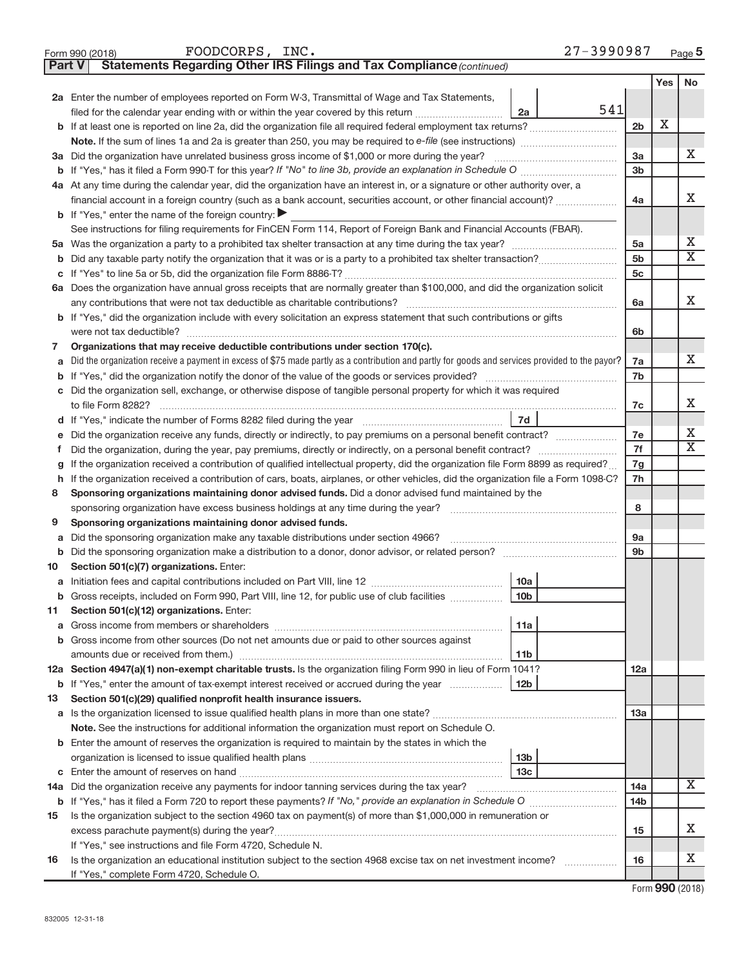| Form 990 (2018)<br>Statements Regarding Other IRS Filings and Tax Compliance (continued)<br><b>Part V</b><br>2a Enter the number of employees reported on Form W-3, Transmittal of Wage and Tax Statements,<br>541<br>filed for the calendar year ending with or within the year covered by this return <i></i><br>2a<br>2 <sub>b</sub><br>3a<br>3a Did the organization have unrelated business gross income of \$1,000 or more during the year?<br>3 <sub>b</sub><br>4a At any time during the calendar year, did the organization have an interest in, or a signature or other authority over, a<br>financial account in a foreign country (such as a bank account, securities account, or other financial account)?<br>4a<br><b>b</b> If "Yes," enter the name of the foreign country:<br>See instructions for filing requirements for FinCEN Form 114, Report of Foreign Bank and Financial Accounts (FBAR).<br>5a<br>5 <sub>b</sub><br>b<br>5 <sub>c</sub><br>С<br>6a Does the organization have annual gross receipts that are normally greater than \$100,000, and did the organization solicit<br>any contributions that were not tax deductible as charitable contributions?<br>6a<br>b If "Yes," did the organization include with every solicitation an express statement that such contributions or gifts<br>were not tax deductible?<br>6b<br>Organizations that may receive deductible contributions under section 170(c).<br>7<br>Did the organization receive a payment in excess of \$75 made partly as a contribution and partly for goods and services provided to the payor?<br>7a<br>а<br>7b<br>b<br>Did the organization sell, exchange, or otherwise dispose of tangible personal property for which it was required<br>С<br>to file Form 8282?<br>7c<br>7d<br>d If "Yes," indicate the number of Forms 8282 filed during the year<br>7e<br>е<br>7f<br>Did the organization, during the year, pay premiums, directly or indirectly, on a personal benefit contract?<br>f<br>If the organization received a contribution of qualified intellectual property, did the organization file Form 8899 as required?<br>7g<br>g<br>If the organization received a contribution of cars, boats, airplanes, or other vehicles, did the organization file a Form 1098-C?<br>7h<br>h<br>Sponsoring organizations maintaining donor advised funds. Did a donor advised fund maintained by the<br>8<br>8<br>sponsoring organization have excess business holdings at any time during the year?<br>Sponsoring organizations maintaining donor advised funds.<br>9<br>Did the sponsoring organization make any taxable distributions under section 4966?<br>9a<br>а<br>9 <sub>b</sub><br>b<br>Section 501(c)(7) organizations. Enter:<br>10<br>10a<br>Gross receipts, included on Form 990, Part VIII, line 12, for public use of club facilities<br>10 <sub>b</sub><br>b<br>Section 501(c)(12) organizations. Enter:<br>11<br>11a<br>a<br>Gross income from other sources (Do not net amounts due or paid to other sources against<br>b<br>11b<br>12a Section 4947(a)(1) non-exempt charitable trusts. Is the organization filing Form 990 in lieu of Form 1041?<br>12a<br>12 <sub>b</sub><br>If "Yes," enter the amount of tax-exempt interest received or accrued during the year<br>b<br>Section 501(c)(29) qualified nonprofit health insurance issuers.<br>13<br>13a<br>Note. See the instructions for additional information the organization must report on Schedule O.<br><b>b</b> Enter the amount of reserves the organization is required to maintain by the states in which the<br>13 <sub>b</sub><br>13с<br>С | Page 5                  |
|-------------------------------------------------------------------------------------------------------------------------------------------------------------------------------------------------------------------------------------------------------------------------------------------------------------------------------------------------------------------------------------------------------------------------------------------------------------------------------------------------------------------------------------------------------------------------------------------------------------------------------------------------------------------------------------------------------------------------------------------------------------------------------------------------------------------------------------------------------------------------------------------------------------------------------------------------------------------------------------------------------------------------------------------------------------------------------------------------------------------------------------------------------------------------------------------------------------------------------------------------------------------------------------------------------------------------------------------------------------------------------------------------------------------------------------------------------------------------------------------------------------------------------------------------------------------------------------------------------------------------------------------------------------------------------------------------------------------------------------------------------------------------------------------------------------------------------------------------------------------------------------------------------------------------------------------------------------------------------------------------------------------------------------------------------------------------------------------------------------------------------------------------------------------------------------------------------------------------------------------------------------------------------------------------------------------------------------------------------------------------------------------------------------------------------------------------------------------------------------------------------------------------------------------------------------------------------------------------------------------------------------------------------------------------------------------------------------------------------------------------------------------------------------------------------------------------------------------------------------------------------------------------------------------------------------------------------------------------------------------------------------------------------------------------------------------------------------------------------------------------------------------------------------------------------------------------------------------------------------------------------------------------------------------------------------------------------------------------------------------------------------------------------------------------------------------------------------------------------------------------------------------------------------------------------------------------------------------------------------------------------------|-------------------------|
|                                                                                                                                                                                                                                                                                                                                                                                                                                                                                                                                                                                                                                                                                                                                                                                                                                                                                                                                                                                                                                                                                                                                                                                                                                                                                                                                                                                                                                                                                                                                                                                                                                                                                                                                                                                                                                                                                                                                                                                                                                                                                                                                                                                                                                                                                                                                                                                                                                                                                                                                                                                                                                                                                                                                                                                                                                                                                                                                                                                                                                                                                                                                                                                                                                                                                                                                                                                                                                                                                                                                                                                                                                     |                         |
|                                                                                                                                                                                                                                                                                                                                                                                                                                                                                                                                                                                                                                                                                                                                                                                                                                                                                                                                                                                                                                                                                                                                                                                                                                                                                                                                                                                                                                                                                                                                                                                                                                                                                                                                                                                                                                                                                                                                                                                                                                                                                                                                                                                                                                                                                                                                                                                                                                                                                                                                                                                                                                                                                                                                                                                                                                                                                                                                                                                                                                                                                                                                                                                                                                                                                                                                                                                                                                                                                                                                                                                                                                     | No<br>Yes               |
|                                                                                                                                                                                                                                                                                                                                                                                                                                                                                                                                                                                                                                                                                                                                                                                                                                                                                                                                                                                                                                                                                                                                                                                                                                                                                                                                                                                                                                                                                                                                                                                                                                                                                                                                                                                                                                                                                                                                                                                                                                                                                                                                                                                                                                                                                                                                                                                                                                                                                                                                                                                                                                                                                                                                                                                                                                                                                                                                                                                                                                                                                                                                                                                                                                                                                                                                                                                                                                                                                                                                                                                                                                     |                         |
|                                                                                                                                                                                                                                                                                                                                                                                                                                                                                                                                                                                                                                                                                                                                                                                                                                                                                                                                                                                                                                                                                                                                                                                                                                                                                                                                                                                                                                                                                                                                                                                                                                                                                                                                                                                                                                                                                                                                                                                                                                                                                                                                                                                                                                                                                                                                                                                                                                                                                                                                                                                                                                                                                                                                                                                                                                                                                                                                                                                                                                                                                                                                                                                                                                                                                                                                                                                                                                                                                                                                                                                                                                     |                         |
|                                                                                                                                                                                                                                                                                                                                                                                                                                                                                                                                                                                                                                                                                                                                                                                                                                                                                                                                                                                                                                                                                                                                                                                                                                                                                                                                                                                                                                                                                                                                                                                                                                                                                                                                                                                                                                                                                                                                                                                                                                                                                                                                                                                                                                                                                                                                                                                                                                                                                                                                                                                                                                                                                                                                                                                                                                                                                                                                                                                                                                                                                                                                                                                                                                                                                                                                                                                                                                                                                                                                                                                                                                     | х                       |
|                                                                                                                                                                                                                                                                                                                                                                                                                                                                                                                                                                                                                                                                                                                                                                                                                                                                                                                                                                                                                                                                                                                                                                                                                                                                                                                                                                                                                                                                                                                                                                                                                                                                                                                                                                                                                                                                                                                                                                                                                                                                                                                                                                                                                                                                                                                                                                                                                                                                                                                                                                                                                                                                                                                                                                                                                                                                                                                                                                                                                                                                                                                                                                                                                                                                                                                                                                                                                                                                                                                                                                                                                                     |                         |
|                                                                                                                                                                                                                                                                                                                                                                                                                                                                                                                                                                                                                                                                                                                                                                                                                                                                                                                                                                                                                                                                                                                                                                                                                                                                                                                                                                                                                                                                                                                                                                                                                                                                                                                                                                                                                                                                                                                                                                                                                                                                                                                                                                                                                                                                                                                                                                                                                                                                                                                                                                                                                                                                                                                                                                                                                                                                                                                                                                                                                                                                                                                                                                                                                                                                                                                                                                                                                                                                                                                                                                                                                                     | x                       |
|                                                                                                                                                                                                                                                                                                                                                                                                                                                                                                                                                                                                                                                                                                                                                                                                                                                                                                                                                                                                                                                                                                                                                                                                                                                                                                                                                                                                                                                                                                                                                                                                                                                                                                                                                                                                                                                                                                                                                                                                                                                                                                                                                                                                                                                                                                                                                                                                                                                                                                                                                                                                                                                                                                                                                                                                                                                                                                                                                                                                                                                                                                                                                                                                                                                                                                                                                                                                                                                                                                                                                                                                                                     |                         |
|                                                                                                                                                                                                                                                                                                                                                                                                                                                                                                                                                                                                                                                                                                                                                                                                                                                                                                                                                                                                                                                                                                                                                                                                                                                                                                                                                                                                                                                                                                                                                                                                                                                                                                                                                                                                                                                                                                                                                                                                                                                                                                                                                                                                                                                                                                                                                                                                                                                                                                                                                                                                                                                                                                                                                                                                                                                                                                                                                                                                                                                                                                                                                                                                                                                                                                                                                                                                                                                                                                                                                                                                                                     |                         |
|                                                                                                                                                                                                                                                                                                                                                                                                                                                                                                                                                                                                                                                                                                                                                                                                                                                                                                                                                                                                                                                                                                                                                                                                                                                                                                                                                                                                                                                                                                                                                                                                                                                                                                                                                                                                                                                                                                                                                                                                                                                                                                                                                                                                                                                                                                                                                                                                                                                                                                                                                                                                                                                                                                                                                                                                                                                                                                                                                                                                                                                                                                                                                                                                                                                                                                                                                                                                                                                                                                                                                                                                                                     | Х                       |
|                                                                                                                                                                                                                                                                                                                                                                                                                                                                                                                                                                                                                                                                                                                                                                                                                                                                                                                                                                                                                                                                                                                                                                                                                                                                                                                                                                                                                                                                                                                                                                                                                                                                                                                                                                                                                                                                                                                                                                                                                                                                                                                                                                                                                                                                                                                                                                                                                                                                                                                                                                                                                                                                                                                                                                                                                                                                                                                                                                                                                                                                                                                                                                                                                                                                                                                                                                                                                                                                                                                                                                                                                                     |                         |
|                                                                                                                                                                                                                                                                                                                                                                                                                                                                                                                                                                                                                                                                                                                                                                                                                                                                                                                                                                                                                                                                                                                                                                                                                                                                                                                                                                                                                                                                                                                                                                                                                                                                                                                                                                                                                                                                                                                                                                                                                                                                                                                                                                                                                                                                                                                                                                                                                                                                                                                                                                                                                                                                                                                                                                                                                                                                                                                                                                                                                                                                                                                                                                                                                                                                                                                                                                                                                                                                                                                                                                                                                                     |                         |
|                                                                                                                                                                                                                                                                                                                                                                                                                                                                                                                                                                                                                                                                                                                                                                                                                                                                                                                                                                                                                                                                                                                                                                                                                                                                                                                                                                                                                                                                                                                                                                                                                                                                                                                                                                                                                                                                                                                                                                                                                                                                                                                                                                                                                                                                                                                                                                                                                                                                                                                                                                                                                                                                                                                                                                                                                                                                                                                                                                                                                                                                                                                                                                                                                                                                                                                                                                                                                                                                                                                                                                                                                                     | x                       |
|                                                                                                                                                                                                                                                                                                                                                                                                                                                                                                                                                                                                                                                                                                                                                                                                                                                                                                                                                                                                                                                                                                                                                                                                                                                                                                                                                                                                                                                                                                                                                                                                                                                                                                                                                                                                                                                                                                                                                                                                                                                                                                                                                                                                                                                                                                                                                                                                                                                                                                                                                                                                                                                                                                                                                                                                                                                                                                                                                                                                                                                                                                                                                                                                                                                                                                                                                                                                                                                                                                                                                                                                                                     | $\overline{\textbf{X}}$ |
|                                                                                                                                                                                                                                                                                                                                                                                                                                                                                                                                                                                                                                                                                                                                                                                                                                                                                                                                                                                                                                                                                                                                                                                                                                                                                                                                                                                                                                                                                                                                                                                                                                                                                                                                                                                                                                                                                                                                                                                                                                                                                                                                                                                                                                                                                                                                                                                                                                                                                                                                                                                                                                                                                                                                                                                                                                                                                                                                                                                                                                                                                                                                                                                                                                                                                                                                                                                                                                                                                                                                                                                                                                     |                         |
|                                                                                                                                                                                                                                                                                                                                                                                                                                                                                                                                                                                                                                                                                                                                                                                                                                                                                                                                                                                                                                                                                                                                                                                                                                                                                                                                                                                                                                                                                                                                                                                                                                                                                                                                                                                                                                                                                                                                                                                                                                                                                                                                                                                                                                                                                                                                                                                                                                                                                                                                                                                                                                                                                                                                                                                                                                                                                                                                                                                                                                                                                                                                                                                                                                                                                                                                                                                                                                                                                                                                                                                                                                     |                         |
|                                                                                                                                                                                                                                                                                                                                                                                                                                                                                                                                                                                                                                                                                                                                                                                                                                                                                                                                                                                                                                                                                                                                                                                                                                                                                                                                                                                                                                                                                                                                                                                                                                                                                                                                                                                                                                                                                                                                                                                                                                                                                                                                                                                                                                                                                                                                                                                                                                                                                                                                                                                                                                                                                                                                                                                                                                                                                                                                                                                                                                                                                                                                                                                                                                                                                                                                                                                                                                                                                                                                                                                                                                     | x                       |
|                                                                                                                                                                                                                                                                                                                                                                                                                                                                                                                                                                                                                                                                                                                                                                                                                                                                                                                                                                                                                                                                                                                                                                                                                                                                                                                                                                                                                                                                                                                                                                                                                                                                                                                                                                                                                                                                                                                                                                                                                                                                                                                                                                                                                                                                                                                                                                                                                                                                                                                                                                                                                                                                                                                                                                                                                                                                                                                                                                                                                                                                                                                                                                                                                                                                                                                                                                                                                                                                                                                                                                                                                                     |                         |
|                                                                                                                                                                                                                                                                                                                                                                                                                                                                                                                                                                                                                                                                                                                                                                                                                                                                                                                                                                                                                                                                                                                                                                                                                                                                                                                                                                                                                                                                                                                                                                                                                                                                                                                                                                                                                                                                                                                                                                                                                                                                                                                                                                                                                                                                                                                                                                                                                                                                                                                                                                                                                                                                                                                                                                                                                                                                                                                                                                                                                                                                                                                                                                                                                                                                                                                                                                                                                                                                                                                                                                                                                                     |                         |
|                                                                                                                                                                                                                                                                                                                                                                                                                                                                                                                                                                                                                                                                                                                                                                                                                                                                                                                                                                                                                                                                                                                                                                                                                                                                                                                                                                                                                                                                                                                                                                                                                                                                                                                                                                                                                                                                                                                                                                                                                                                                                                                                                                                                                                                                                                                                                                                                                                                                                                                                                                                                                                                                                                                                                                                                                                                                                                                                                                                                                                                                                                                                                                                                                                                                                                                                                                                                                                                                                                                                                                                                                                     |                         |
|                                                                                                                                                                                                                                                                                                                                                                                                                                                                                                                                                                                                                                                                                                                                                                                                                                                                                                                                                                                                                                                                                                                                                                                                                                                                                                                                                                                                                                                                                                                                                                                                                                                                                                                                                                                                                                                                                                                                                                                                                                                                                                                                                                                                                                                                                                                                                                                                                                                                                                                                                                                                                                                                                                                                                                                                                                                                                                                                                                                                                                                                                                                                                                                                                                                                                                                                                                                                                                                                                                                                                                                                                                     | х                       |
|                                                                                                                                                                                                                                                                                                                                                                                                                                                                                                                                                                                                                                                                                                                                                                                                                                                                                                                                                                                                                                                                                                                                                                                                                                                                                                                                                                                                                                                                                                                                                                                                                                                                                                                                                                                                                                                                                                                                                                                                                                                                                                                                                                                                                                                                                                                                                                                                                                                                                                                                                                                                                                                                                                                                                                                                                                                                                                                                                                                                                                                                                                                                                                                                                                                                                                                                                                                                                                                                                                                                                                                                                                     |                         |
|                                                                                                                                                                                                                                                                                                                                                                                                                                                                                                                                                                                                                                                                                                                                                                                                                                                                                                                                                                                                                                                                                                                                                                                                                                                                                                                                                                                                                                                                                                                                                                                                                                                                                                                                                                                                                                                                                                                                                                                                                                                                                                                                                                                                                                                                                                                                                                                                                                                                                                                                                                                                                                                                                                                                                                                                                                                                                                                                                                                                                                                                                                                                                                                                                                                                                                                                                                                                                                                                                                                                                                                                                                     |                         |
|                                                                                                                                                                                                                                                                                                                                                                                                                                                                                                                                                                                                                                                                                                                                                                                                                                                                                                                                                                                                                                                                                                                                                                                                                                                                                                                                                                                                                                                                                                                                                                                                                                                                                                                                                                                                                                                                                                                                                                                                                                                                                                                                                                                                                                                                                                                                                                                                                                                                                                                                                                                                                                                                                                                                                                                                                                                                                                                                                                                                                                                                                                                                                                                                                                                                                                                                                                                                                                                                                                                                                                                                                                     | Х                       |
|                                                                                                                                                                                                                                                                                                                                                                                                                                                                                                                                                                                                                                                                                                                                                                                                                                                                                                                                                                                                                                                                                                                                                                                                                                                                                                                                                                                                                                                                                                                                                                                                                                                                                                                                                                                                                                                                                                                                                                                                                                                                                                                                                                                                                                                                                                                                                                                                                                                                                                                                                                                                                                                                                                                                                                                                                                                                                                                                                                                                                                                                                                                                                                                                                                                                                                                                                                                                                                                                                                                                                                                                                                     |                         |
|                                                                                                                                                                                                                                                                                                                                                                                                                                                                                                                                                                                                                                                                                                                                                                                                                                                                                                                                                                                                                                                                                                                                                                                                                                                                                                                                                                                                                                                                                                                                                                                                                                                                                                                                                                                                                                                                                                                                                                                                                                                                                                                                                                                                                                                                                                                                                                                                                                                                                                                                                                                                                                                                                                                                                                                                                                                                                                                                                                                                                                                                                                                                                                                                                                                                                                                                                                                                                                                                                                                                                                                                                                     | x                       |
|                                                                                                                                                                                                                                                                                                                                                                                                                                                                                                                                                                                                                                                                                                                                                                                                                                                                                                                                                                                                                                                                                                                                                                                                                                                                                                                                                                                                                                                                                                                                                                                                                                                                                                                                                                                                                                                                                                                                                                                                                                                                                                                                                                                                                                                                                                                                                                                                                                                                                                                                                                                                                                                                                                                                                                                                                                                                                                                                                                                                                                                                                                                                                                                                                                                                                                                                                                                                                                                                                                                                                                                                                                     | Х                       |
|                                                                                                                                                                                                                                                                                                                                                                                                                                                                                                                                                                                                                                                                                                                                                                                                                                                                                                                                                                                                                                                                                                                                                                                                                                                                                                                                                                                                                                                                                                                                                                                                                                                                                                                                                                                                                                                                                                                                                                                                                                                                                                                                                                                                                                                                                                                                                                                                                                                                                                                                                                                                                                                                                                                                                                                                                                                                                                                                                                                                                                                                                                                                                                                                                                                                                                                                                                                                                                                                                                                                                                                                                                     |                         |
|                                                                                                                                                                                                                                                                                                                                                                                                                                                                                                                                                                                                                                                                                                                                                                                                                                                                                                                                                                                                                                                                                                                                                                                                                                                                                                                                                                                                                                                                                                                                                                                                                                                                                                                                                                                                                                                                                                                                                                                                                                                                                                                                                                                                                                                                                                                                                                                                                                                                                                                                                                                                                                                                                                                                                                                                                                                                                                                                                                                                                                                                                                                                                                                                                                                                                                                                                                                                                                                                                                                                                                                                                                     |                         |
|                                                                                                                                                                                                                                                                                                                                                                                                                                                                                                                                                                                                                                                                                                                                                                                                                                                                                                                                                                                                                                                                                                                                                                                                                                                                                                                                                                                                                                                                                                                                                                                                                                                                                                                                                                                                                                                                                                                                                                                                                                                                                                                                                                                                                                                                                                                                                                                                                                                                                                                                                                                                                                                                                                                                                                                                                                                                                                                                                                                                                                                                                                                                                                                                                                                                                                                                                                                                                                                                                                                                                                                                                                     |                         |
|                                                                                                                                                                                                                                                                                                                                                                                                                                                                                                                                                                                                                                                                                                                                                                                                                                                                                                                                                                                                                                                                                                                                                                                                                                                                                                                                                                                                                                                                                                                                                                                                                                                                                                                                                                                                                                                                                                                                                                                                                                                                                                                                                                                                                                                                                                                                                                                                                                                                                                                                                                                                                                                                                                                                                                                                                                                                                                                                                                                                                                                                                                                                                                                                                                                                                                                                                                                                                                                                                                                                                                                                                                     |                         |
|                                                                                                                                                                                                                                                                                                                                                                                                                                                                                                                                                                                                                                                                                                                                                                                                                                                                                                                                                                                                                                                                                                                                                                                                                                                                                                                                                                                                                                                                                                                                                                                                                                                                                                                                                                                                                                                                                                                                                                                                                                                                                                                                                                                                                                                                                                                                                                                                                                                                                                                                                                                                                                                                                                                                                                                                                                                                                                                                                                                                                                                                                                                                                                                                                                                                                                                                                                                                                                                                                                                                                                                                                                     |                         |
|                                                                                                                                                                                                                                                                                                                                                                                                                                                                                                                                                                                                                                                                                                                                                                                                                                                                                                                                                                                                                                                                                                                                                                                                                                                                                                                                                                                                                                                                                                                                                                                                                                                                                                                                                                                                                                                                                                                                                                                                                                                                                                                                                                                                                                                                                                                                                                                                                                                                                                                                                                                                                                                                                                                                                                                                                                                                                                                                                                                                                                                                                                                                                                                                                                                                                                                                                                                                                                                                                                                                                                                                                                     |                         |
|                                                                                                                                                                                                                                                                                                                                                                                                                                                                                                                                                                                                                                                                                                                                                                                                                                                                                                                                                                                                                                                                                                                                                                                                                                                                                                                                                                                                                                                                                                                                                                                                                                                                                                                                                                                                                                                                                                                                                                                                                                                                                                                                                                                                                                                                                                                                                                                                                                                                                                                                                                                                                                                                                                                                                                                                                                                                                                                                                                                                                                                                                                                                                                                                                                                                                                                                                                                                                                                                                                                                                                                                                                     |                         |
|                                                                                                                                                                                                                                                                                                                                                                                                                                                                                                                                                                                                                                                                                                                                                                                                                                                                                                                                                                                                                                                                                                                                                                                                                                                                                                                                                                                                                                                                                                                                                                                                                                                                                                                                                                                                                                                                                                                                                                                                                                                                                                                                                                                                                                                                                                                                                                                                                                                                                                                                                                                                                                                                                                                                                                                                                                                                                                                                                                                                                                                                                                                                                                                                                                                                                                                                                                                                                                                                                                                                                                                                                                     |                         |
|                                                                                                                                                                                                                                                                                                                                                                                                                                                                                                                                                                                                                                                                                                                                                                                                                                                                                                                                                                                                                                                                                                                                                                                                                                                                                                                                                                                                                                                                                                                                                                                                                                                                                                                                                                                                                                                                                                                                                                                                                                                                                                                                                                                                                                                                                                                                                                                                                                                                                                                                                                                                                                                                                                                                                                                                                                                                                                                                                                                                                                                                                                                                                                                                                                                                                                                                                                                                                                                                                                                                                                                                                                     |                         |
|                                                                                                                                                                                                                                                                                                                                                                                                                                                                                                                                                                                                                                                                                                                                                                                                                                                                                                                                                                                                                                                                                                                                                                                                                                                                                                                                                                                                                                                                                                                                                                                                                                                                                                                                                                                                                                                                                                                                                                                                                                                                                                                                                                                                                                                                                                                                                                                                                                                                                                                                                                                                                                                                                                                                                                                                                                                                                                                                                                                                                                                                                                                                                                                                                                                                                                                                                                                                                                                                                                                                                                                                                                     |                         |
|                                                                                                                                                                                                                                                                                                                                                                                                                                                                                                                                                                                                                                                                                                                                                                                                                                                                                                                                                                                                                                                                                                                                                                                                                                                                                                                                                                                                                                                                                                                                                                                                                                                                                                                                                                                                                                                                                                                                                                                                                                                                                                                                                                                                                                                                                                                                                                                                                                                                                                                                                                                                                                                                                                                                                                                                                                                                                                                                                                                                                                                                                                                                                                                                                                                                                                                                                                                                                                                                                                                                                                                                                                     |                         |
|                                                                                                                                                                                                                                                                                                                                                                                                                                                                                                                                                                                                                                                                                                                                                                                                                                                                                                                                                                                                                                                                                                                                                                                                                                                                                                                                                                                                                                                                                                                                                                                                                                                                                                                                                                                                                                                                                                                                                                                                                                                                                                                                                                                                                                                                                                                                                                                                                                                                                                                                                                                                                                                                                                                                                                                                                                                                                                                                                                                                                                                                                                                                                                                                                                                                                                                                                                                                                                                                                                                                                                                                                                     |                         |
|                                                                                                                                                                                                                                                                                                                                                                                                                                                                                                                                                                                                                                                                                                                                                                                                                                                                                                                                                                                                                                                                                                                                                                                                                                                                                                                                                                                                                                                                                                                                                                                                                                                                                                                                                                                                                                                                                                                                                                                                                                                                                                                                                                                                                                                                                                                                                                                                                                                                                                                                                                                                                                                                                                                                                                                                                                                                                                                                                                                                                                                                                                                                                                                                                                                                                                                                                                                                                                                                                                                                                                                                                                     |                         |
|                                                                                                                                                                                                                                                                                                                                                                                                                                                                                                                                                                                                                                                                                                                                                                                                                                                                                                                                                                                                                                                                                                                                                                                                                                                                                                                                                                                                                                                                                                                                                                                                                                                                                                                                                                                                                                                                                                                                                                                                                                                                                                                                                                                                                                                                                                                                                                                                                                                                                                                                                                                                                                                                                                                                                                                                                                                                                                                                                                                                                                                                                                                                                                                                                                                                                                                                                                                                                                                                                                                                                                                                                                     |                         |
|                                                                                                                                                                                                                                                                                                                                                                                                                                                                                                                                                                                                                                                                                                                                                                                                                                                                                                                                                                                                                                                                                                                                                                                                                                                                                                                                                                                                                                                                                                                                                                                                                                                                                                                                                                                                                                                                                                                                                                                                                                                                                                                                                                                                                                                                                                                                                                                                                                                                                                                                                                                                                                                                                                                                                                                                                                                                                                                                                                                                                                                                                                                                                                                                                                                                                                                                                                                                                                                                                                                                                                                                                                     |                         |
|                                                                                                                                                                                                                                                                                                                                                                                                                                                                                                                                                                                                                                                                                                                                                                                                                                                                                                                                                                                                                                                                                                                                                                                                                                                                                                                                                                                                                                                                                                                                                                                                                                                                                                                                                                                                                                                                                                                                                                                                                                                                                                                                                                                                                                                                                                                                                                                                                                                                                                                                                                                                                                                                                                                                                                                                                                                                                                                                                                                                                                                                                                                                                                                                                                                                                                                                                                                                                                                                                                                                                                                                                                     |                         |
|                                                                                                                                                                                                                                                                                                                                                                                                                                                                                                                                                                                                                                                                                                                                                                                                                                                                                                                                                                                                                                                                                                                                                                                                                                                                                                                                                                                                                                                                                                                                                                                                                                                                                                                                                                                                                                                                                                                                                                                                                                                                                                                                                                                                                                                                                                                                                                                                                                                                                                                                                                                                                                                                                                                                                                                                                                                                                                                                                                                                                                                                                                                                                                                                                                                                                                                                                                                                                                                                                                                                                                                                                                     |                         |
|                                                                                                                                                                                                                                                                                                                                                                                                                                                                                                                                                                                                                                                                                                                                                                                                                                                                                                                                                                                                                                                                                                                                                                                                                                                                                                                                                                                                                                                                                                                                                                                                                                                                                                                                                                                                                                                                                                                                                                                                                                                                                                                                                                                                                                                                                                                                                                                                                                                                                                                                                                                                                                                                                                                                                                                                                                                                                                                                                                                                                                                                                                                                                                                                                                                                                                                                                                                                                                                                                                                                                                                                                                     |                         |
|                                                                                                                                                                                                                                                                                                                                                                                                                                                                                                                                                                                                                                                                                                                                                                                                                                                                                                                                                                                                                                                                                                                                                                                                                                                                                                                                                                                                                                                                                                                                                                                                                                                                                                                                                                                                                                                                                                                                                                                                                                                                                                                                                                                                                                                                                                                                                                                                                                                                                                                                                                                                                                                                                                                                                                                                                                                                                                                                                                                                                                                                                                                                                                                                                                                                                                                                                                                                                                                                                                                                                                                                                                     |                         |
|                                                                                                                                                                                                                                                                                                                                                                                                                                                                                                                                                                                                                                                                                                                                                                                                                                                                                                                                                                                                                                                                                                                                                                                                                                                                                                                                                                                                                                                                                                                                                                                                                                                                                                                                                                                                                                                                                                                                                                                                                                                                                                                                                                                                                                                                                                                                                                                                                                                                                                                                                                                                                                                                                                                                                                                                                                                                                                                                                                                                                                                                                                                                                                                                                                                                                                                                                                                                                                                                                                                                                                                                                                     |                         |
|                                                                                                                                                                                                                                                                                                                                                                                                                                                                                                                                                                                                                                                                                                                                                                                                                                                                                                                                                                                                                                                                                                                                                                                                                                                                                                                                                                                                                                                                                                                                                                                                                                                                                                                                                                                                                                                                                                                                                                                                                                                                                                                                                                                                                                                                                                                                                                                                                                                                                                                                                                                                                                                                                                                                                                                                                                                                                                                                                                                                                                                                                                                                                                                                                                                                                                                                                                                                                                                                                                                                                                                                                                     |                         |
|                                                                                                                                                                                                                                                                                                                                                                                                                                                                                                                                                                                                                                                                                                                                                                                                                                                                                                                                                                                                                                                                                                                                                                                                                                                                                                                                                                                                                                                                                                                                                                                                                                                                                                                                                                                                                                                                                                                                                                                                                                                                                                                                                                                                                                                                                                                                                                                                                                                                                                                                                                                                                                                                                                                                                                                                                                                                                                                                                                                                                                                                                                                                                                                                                                                                                                                                                                                                                                                                                                                                                                                                                                     |                         |
| 14a<br>Did the organization receive any payments for indoor tanning services during the tax year?<br>14a                                                                                                                                                                                                                                                                                                                                                                                                                                                                                                                                                                                                                                                                                                                                                                                                                                                                                                                                                                                                                                                                                                                                                                                                                                                                                                                                                                                                                                                                                                                                                                                                                                                                                                                                                                                                                                                                                                                                                                                                                                                                                                                                                                                                                                                                                                                                                                                                                                                                                                                                                                                                                                                                                                                                                                                                                                                                                                                                                                                                                                                                                                                                                                                                                                                                                                                                                                                                                                                                                                                            | Х                       |
| 14 <sub>b</sub><br>b                                                                                                                                                                                                                                                                                                                                                                                                                                                                                                                                                                                                                                                                                                                                                                                                                                                                                                                                                                                                                                                                                                                                                                                                                                                                                                                                                                                                                                                                                                                                                                                                                                                                                                                                                                                                                                                                                                                                                                                                                                                                                                                                                                                                                                                                                                                                                                                                                                                                                                                                                                                                                                                                                                                                                                                                                                                                                                                                                                                                                                                                                                                                                                                                                                                                                                                                                                                                                                                                                                                                                                                                                |                         |
| Is the organization subject to the section 4960 tax on payment(s) of more than \$1,000,000 in remuneration or<br>15                                                                                                                                                                                                                                                                                                                                                                                                                                                                                                                                                                                                                                                                                                                                                                                                                                                                                                                                                                                                                                                                                                                                                                                                                                                                                                                                                                                                                                                                                                                                                                                                                                                                                                                                                                                                                                                                                                                                                                                                                                                                                                                                                                                                                                                                                                                                                                                                                                                                                                                                                                                                                                                                                                                                                                                                                                                                                                                                                                                                                                                                                                                                                                                                                                                                                                                                                                                                                                                                                                                 |                         |
| 15                                                                                                                                                                                                                                                                                                                                                                                                                                                                                                                                                                                                                                                                                                                                                                                                                                                                                                                                                                                                                                                                                                                                                                                                                                                                                                                                                                                                                                                                                                                                                                                                                                                                                                                                                                                                                                                                                                                                                                                                                                                                                                                                                                                                                                                                                                                                                                                                                                                                                                                                                                                                                                                                                                                                                                                                                                                                                                                                                                                                                                                                                                                                                                                                                                                                                                                                                                                                                                                                                                                                                                                                                                  | x                       |
| If "Yes," see instructions and file Form 4720, Schedule N.                                                                                                                                                                                                                                                                                                                                                                                                                                                                                                                                                                                                                                                                                                                                                                                                                                                                                                                                                                                                                                                                                                                                                                                                                                                                                                                                                                                                                                                                                                                                                                                                                                                                                                                                                                                                                                                                                                                                                                                                                                                                                                                                                                                                                                                                                                                                                                                                                                                                                                                                                                                                                                                                                                                                                                                                                                                                                                                                                                                                                                                                                                                                                                                                                                                                                                                                                                                                                                                                                                                                                                          |                         |
| Is the organization an educational institution subject to the section 4968 excise tax on net investment income?<br>16<br>16                                                                                                                                                                                                                                                                                                                                                                                                                                                                                                                                                                                                                                                                                                                                                                                                                                                                                                                                                                                                                                                                                                                                                                                                                                                                                                                                                                                                                                                                                                                                                                                                                                                                                                                                                                                                                                                                                                                                                                                                                                                                                                                                                                                                                                                                                                                                                                                                                                                                                                                                                                                                                                                                                                                                                                                                                                                                                                                                                                                                                                                                                                                                                                                                                                                                                                                                                                                                                                                                                                         | x                       |
| If "Yes," complete Form 4720, Schedule O.                                                                                                                                                                                                                                                                                                                                                                                                                                                                                                                                                                                                                                                                                                                                                                                                                                                                                                                                                                                                                                                                                                                                                                                                                                                                                                                                                                                                                                                                                                                                                                                                                                                                                                                                                                                                                                                                                                                                                                                                                                                                                                                                                                                                                                                                                                                                                                                                                                                                                                                                                                                                                                                                                                                                                                                                                                                                                                                                                                                                                                                                                                                                                                                                                                                                                                                                                                                                                                                                                                                                                                                           |                         |

Form (2018) **990**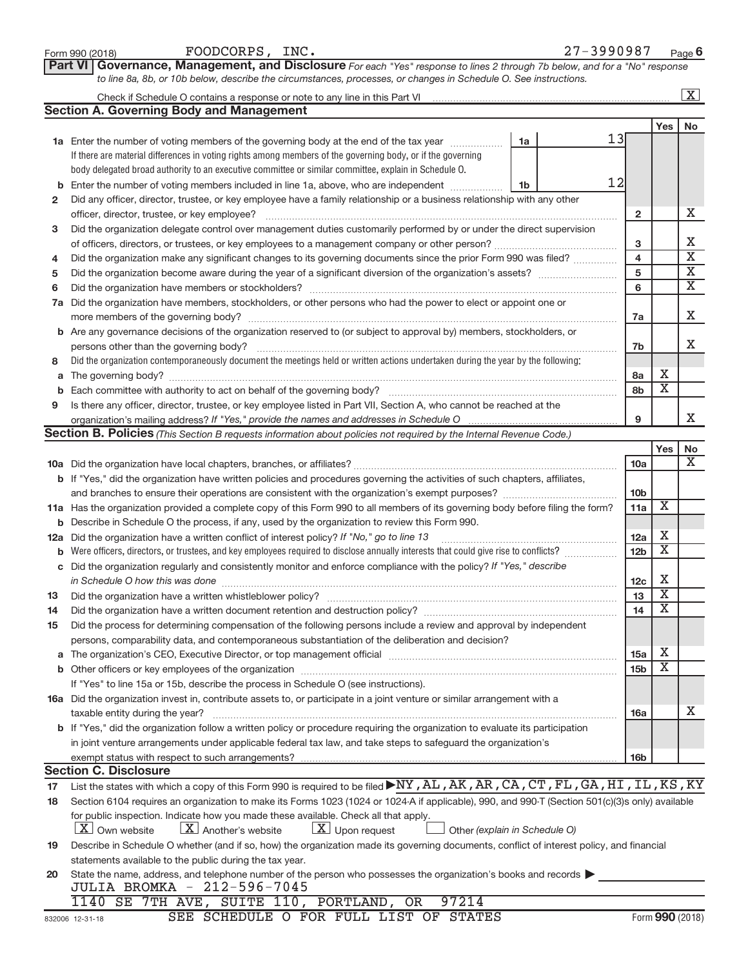|    | Part VI Governance, Management, and Disclosure For each "Yes" response to lines 2 through 7b below, and for a "No" response                                                                                                    |                         |                              |                         |  |  |  |  |  |  |  |
|----|--------------------------------------------------------------------------------------------------------------------------------------------------------------------------------------------------------------------------------|-------------------------|------------------------------|-------------------------|--|--|--|--|--|--|--|
|    | to line 8a, 8b, or 10b below, describe the circumstances, processes, or changes in Schedule O. See instructions.                                                                                                               |                         |                              |                         |  |  |  |  |  |  |  |
|    |                                                                                                                                                                                                                                |                         |                              | $\boxed{\text{X}}$      |  |  |  |  |  |  |  |
|    | <b>Section A. Governing Body and Management</b>                                                                                                                                                                                |                         |                              |                         |  |  |  |  |  |  |  |
|    |                                                                                                                                                                                                                                |                         | Yes                          | No                      |  |  |  |  |  |  |  |
|    | 13<br>1a Enter the number of voting members of the governing body at the end of the tax year<br>1a                                                                                                                             |                         |                              |                         |  |  |  |  |  |  |  |
|    | If there are material differences in voting rights among members of the governing body, or if the governing                                                                                                                    |                         |                              |                         |  |  |  |  |  |  |  |
|    | body delegated broad authority to an executive committee or similar committee, explain in Schedule O.                                                                                                                          |                         |                              |                         |  |  |  |  |  |  |  |
| b  | 12<br>Enter the number of voting members included in line 1a, above, who are independent<br>1b                                                                                                                                 |                         |                              |                         |  |  |  |  |  |  |  |
| 2  | Did any officer, director, trustee, or key employee have a family relationship or a business relationship with any other                                                                                                       |                         |                              |                         |  |  |  |  |  |  |  |
|    |                                                                                                                                                                                                                                | $\overline{2}$          |                              | х                       |  |  |  |  |  |  |  |
| 3  | Did the organization delegate control over management duties customarily performed by or under the direct supervision                                                                                                          |                         |                              |                         |  |  |  |  |  |  |  |
|    |                                                                                                                                                                                                                                |                         |                              |                         |  |  |  |  |  |  |  |
| 4  | Did the organization make any significant changes to its governing documents since the prior Form 990 was filed?                                                                                                               | $\overline{\mathbf{4}}$ |                              | $\overline{\mathbf{X}}$ |  |  |  |  |  |  |  |
| 5  |                                                                                                                                                                                                                                | 5                       |                              | $\overline{\mathbf{X}}$ |  |  |  |  |  |  |  |
| 6  |                                                                                                                                                                                                                                | 6                       |                              | х                       |  |  |  |  |  |  |  |
| 7a | Did the organization have members, stockholders, or other persons who had the power to elect or appoint one or                                                                                                                 |                         |                              |                         |  |  |  |  |  |  |  |
|    |                                                                                                                                                                                                                                | 7a                      |                              | х                       |  |  |  |  |  |  |  |
|    | b Are any governance decisions of the organization reserved to (or subject to approval by) members, stockholders, or                                                                                                           |                         |                              |                         |  |  |  |  |  |  |  |
|    |                                                                                                                                                                                                                                | 7b                      |                              | x                       |  |  |  |  |  |  |  |
| 8  | Did the organization contemporaneously document the meetings held or written actions undertaken during the year by the following:                                                                                              |                         |                              |                         |  |  |  |  |  |  |  |
| а  |                                                                                                                                                                                                                                | 8a                      | х<br>$\overline{\mathbf{X}}$ |                         |  |  |  |  |  |  |  |
| b  |                                                                                                                                                                                                                                | 8b                      |                              |                         |  |  |  |  |  |  |  |
| 9  | Is there any officer, director, trustee, or key employee listed in Part VII, Section A, who cannot be reached at the                                                                                                           |                         |                              | x                       |  |  |  |  |  |  |  |
|    |                                                                                                                                                                                                                                | 9                       |                              |                         |  |  |  |  |  |  |  |
|    | Section B. Policies (This Section B requests information about policies not required by the Internal Revenue Code.)                                                                                                            |                         |                              |                         |  |  |  |  |  |  |  |
|    |                                                                                                                                                                                                                                |                         | Yes                          | No<br>x                 |  |  |  |  |  |  |  |
|    |                                                                                                                                                                                                                                | 10a                     |                              |                         |  |  |  |  |  |  |  |
|    | b If "Yes," did the organization have written policies and procedures governing the activities of such chapters, affiliates,                                                                                                   | 10 <sub>b</sub>         |                              |                         |  |  |  |  |  |  |  |
|    | 11a Has the organization provided a complete copy of this Form 990 to all members of its governing body before filing the form?                                                                                                | 11a                     | X                            |                         |  |  |  |  |  |  |  |
|    |                                                                                                                                                                                                                                |                         |                              |                         |  |  |  |  |  |  |  |
|    | <b>b</b> Describe in Schedule O the process, if any, used by the organization to review this Form 990.<br>12a Did the organization have a written conflict of interest policy? If "No," go to line 13                          |                         |                              |                         |  |  |  |  |  |  |  |
|    | Were officers, directors, or trustees, and key employees required to disclose annually interests that could give rise to conflicts?                                                                                            | 12a<br>12 <sub>b</sub>  | х<br>х                       |                         |  |  |  |  |  |  |  |
|    | c Did the organization regularly and consistently monitor and enforce compliance with the policy? If "Yes," describe                                                                                                           |                         |                              |                         |  |  |  |  |  |  |  |
|    | in Schedule O how this was done [ with the continuum continuum continuum continuum continuum continuum continuum continuum continuum continuum continuum continuum continuum continuum continuum continuum continuum continuum | 12c                     | X                            |                         |  |  |  |  |  |  |  |
| 13 |                                                                                                                                                                                                                                | 13                      | $\overline{\mathbf{X}}$      |                         |  |  |  |  |  |  |  |
| 14 | Did the organization have a written document retention and destruction policy? [11] manufaction materials and destruction policy? [11] manufaction have a written document retention and destruction policy?                   | 14                      | $\overline{\textbf{x}}$      |                         |  |  |  |  |  |  |  |
| 15 | Did the process for determining compensation of the following persons include a review and approval by independent                                                                                                             |                         |                              |                         |  |  |  |  |  |  |  |
|    | persons, comparability data, and contemporaneous substantiation of the deliberation and decision?                                                                                                                              |                         |                              |                         |  |  |  |  |  |  |  |
| а  | The organization's CEO, Executive Director, or top management official manufactured content content of the organization's CEO, Executive Director, or top management official manufactured content of the organization's       | 15a                     | X                            |                         |  |  |  |  |  |  |  |
|    |                                                                                                                                                                                                                                | 15 <sub>b</sub>         | х                            |                         |  |  |  |  |  |  |  |
|    | If "Yes" to line 15a or 15b, describe the process in Schedule O (see instructions).                                                                                                                                            |                         |                              |                         |  |  |  |  |  |  |  |
|    | 16a Did the organization invest in, contribute assets to, or participate in a joint venture or similar arrangement with a                                                                                                      |                         |                              |                         |  |  |  |  |  |  |  |
|    | taxable entity during the year?                                                                                                                                                                                                | 16a                     |                              | x                       |  |  |  |  |  |  |  |
|    | b If "Yes," did the organization follow a written policy or procedure requiring the organization to evaluate its participation                                                                                                 |                         |                              |                         |  |  |  |  |  |  |  |
|    | in joint venture arrangements under applicable federal tax law, and take steps to safeguard the organization's                                                                                                                 |                         |                              |                         |  |  |  |  |  |  |  |
|    | exempt status with respect to such arrangements?                                                                                                                                                                               | 16 <sub>b</sub>         |                              |                         |  |  |  |  |  |  |  |
|    | <b>Section C. Disclosure</b>                                                                                                                                                                                                   |                         |                              |                         |  |  |  |  |  |  |  |
| 17 | List the states with which a copy of this Form 990 is required to be filed NY, AL, AK, AR, CA, CT, FL, GA, HI, IL, KS, KY                                                                                                      |                         |                              |                         |  |  |  |  |  |  |  |
| 18 | Section 6104 requires an organization to make its Forms 1023 (1024 or 1024 A if applicable), 990, and 990-T (Section 501(c)(3)s only) available                                                                                |                         |                              |                         |  |  |  |  |  |  |  |
|    | for public inspection. Indicate how you made these available. Check all that apply.                                                                                                                                            |                         |                              |                         |  |  |  |  |  |  |  |
|    | $\lfloor x \rfloor$ Upon request<br><b>X</b> Own website<br>$\lfloor X \rfloor$ Another's website<br>Other (explain in Schedule O)                                                                                             |                         |                              |                         |  |  |  |  |  |  |  |
| 19 | Describe in Schedule O whether (and if so, how) the organization made its governing documents, conflict of interest policy, and financial                                                                                      |                         |                              |                         |  |  |  |  |  |  |  |
|    | statements available to the public during the tax year.                                                                                                                                                                        |                         |                              |                         |  |  |  |  |  |  |  |
| 20 | State the name, address, and telephone number of the person who possesses the organization's books and records                                                                                                                 |                         |                              |                         |  |  |  |  |  |  |  |
|    | JULIA BROMKA - 212-596-7045                                                                                                                                                                                                    |                         |                              |                         |  |  |  |  |  |  |  |
|    | 1140 SE 7TH AVE, SUITE 110, PORTLAND, OR<br>97214                                                                                                                                                                              |                         |                              |                         |  |  |  |  |  |  |  |
|    | SEE SCHEDULE O FOR FULL LIST OF STATES<br>832006 12-31-18                                                                                                                                                                      |                         |                              | Form 990 (2018)         |  |  |  |  |  |  |  |

Form 990 (2018)  $FOODCORPS$ ,  $INC.$   $27-3990987$   $Page$ 

27-3990987 Page 6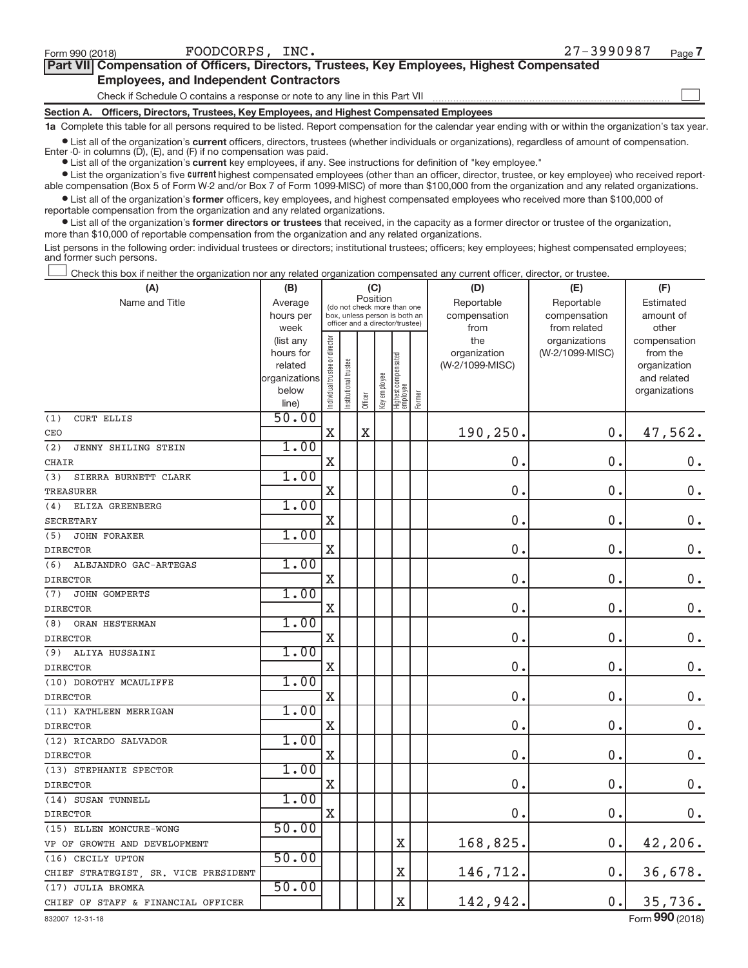$\begin{array}{c} \hline \end{array}$ 

| Part VII Compensation of Officers, Directors, Trustees, Key Employees, Highest Compensated |  |
|--------------------------------------------------------------------------------------------|--|
| <b>Employees, and Independent Contractors</b>                                              |  |

Check if Schedule O contains a response or note to any line in this Part VII

**Section A. Officers, Directors, Trustees, Key Employees, and Highest Compensated Employees**

**1a**  Complete this table for all persons required to be listed. Report compensation for the calendar year ending with or within the organization's tax year.

 $\bullet$  List all of the organization's current officers, directors, trustees (whether individuals or organizations), regardless of amount of compensation. Enter  $-0$ - in columns  $(D)$ ,  $(E)$ , and  $(F)$  if no compensation was paid.

**•** List all of the organization's **current** key employees, if any. See instructions for definition of "key employee."

**Examber 1** List the organization's five current highest compensated employees (other than an officer, director, trustee, or key employee) who received reportable compensation (Box 5 of Form W-2 and/or Box 7 of Form 1099-MISC) of more than \$100,000 from the organization and any related organizations.

 $\bullet$  List all of the organization's former officers, key employees, and highest compensated employees who received more than \$100,000 of reportable compensation from the organization and any related organizations.

**•** List all of the organization's former directors or trustees that received, in the capacity as a former director or trustee of the organization, more than \$10,000 of reportable compensation from the organization and any related organizations.

List persons in the following order: individual trustees or directors; institutional trustees; officers; key employees; highest compensated employees; and former such persons.

Check this box if neither the organization nor any related organization compensated any current officer, director, or trustee.  $\overline{\phantom{a}}$ 

| (A)                                     | (B)               |                                         |                                                                  | (C)         |              |                                   |        | (D)             | (E)                           | (F)                   |  |  |
|-----------------------------------------|-------------------|-----------------------------------------|------------------------------------------------------------------|-------------|--------------|-----------------------------------|--------|-----------------|-------------------------------|-----------------------|--|--|
| Name and Title                          | Average           | Position<br>(do not check more than one |                                                                  |             |              |                                   |        | Reportable      | Reportable                    | Estimated             |  |  |
|                                         | hours per         |                                         | box, unless person is both an<br>officer and a director/trustee) |             |              |                                   |        | compensation    | compensation                  | amount of             |  |  |
|                                         | week<br>(list any |                                         |                                                                  |             |              |                                   |        | from<br>the     | from related<br>organizations | other<br>compensation |  |  |
|                                         | hours for         |                                         |                                                                  |             |              |                                   |        | organization    | (W-2/1099-MISC)               | from the              |  |  |
|                                         | related           |                                         | trustee                                                          |             |              |                                   |        | (W-2/1099-MISC) |                               | organization          |  |  |
|                                         | organizations     |                                         |                                                                  |             |              |                                   |        |                 |                               | and related           |  |  |
|                                         | below             | Individual trustee or director          | Institutional t                                                  | Officer     | Key employee | Highest compensated<br>  employee | Former |                 |                               | organizations         |  |  |
| (1)<br><b>CURT ELLIS</b>                | line)<br>50.00    |                                         |                                                                  |             |              |                                   |        |                 |                               |                       |  |  |
| CEO                                     |                   | X                                       |                                                                  | $\mathbf X$ |              |                                   |        | 190,250.        | 0.                            | 47,562.               |  |  |
| (2)<br>JENNY SHILING STEIN              | 1.00              |                                         |                                                                  |             |              |                                   |        |                 |                               |                       |  |  |
|                                         |                   | $\mathbf X$                             |                                                                  |             |              |                                   |        | 0.              | 0.                            | 0.                    |  |  |
| CHAIR                                   | 1.00              |                                         |                                                                  |             |              |                                   |        |                 |                               |                       |  |  |
| SIERRA BURNETT CLARK<br>(3)             |                   | $\mathbf X$                             |                                                                  |             |              |                                   |        | $\mathbf 0$     | 0.                            | $\mathbf 0$ .         |  |  |
| <b>TREASURER</b>                        | 1.00              |                                         |                                                                  |             |              |                                   |        |                 |                               |                       |  |  |
| ELIZA GREENBERG<br>(4)                  |                   | $\mathbf X$                             |                                                                  |             |              |                                   |        | 0.              | 0.                            | 0.                    |  |  |
| <b>SECRETARY</b>                        | 1.00              |                                         |                                                                  |             |              |                                   |        |                 |                               |                       |  |  |
| JOHN FORAKER<br>(5)                     |                   | X                                       |                                                                  |             |              |                                   |        | $\mathbf 0$     | $\mathbf 0$ .                 | $\mathbf 0$ .         |  |  |
| <b>DIRECTOR</b>                         | 1.00              |                                         |                                                                  |             |              |                                   |        |                 |                               |                       |  |  |
| (6)<br>ALEJANDRO GAC-ARTEGAS            |                   | $\mathbf X$                             |                                                                  |             |              |                                   |        | $\mathbf 0$     | 0.                            | $0$ .                 |  |  |
| <b>DIRECTOR</b><br>JOHN GOMPERTS<br>(7) | 1.00              |                                         |                                                                  |             |              |                                   |        |                 |                               |                       |  |  |
| <b>DIRECTOR</b>                         |                   | $\mathbf X$                             |                                                                  |             |              |                                   |        | 0.              | 0.                            | $\mathbf 0$ .         |  |  |
| ORAN HESTERMAN<br>(8)                   | 1.00              |                                         |                                                                  |             |              |                                   |        |                 |                               |                       |  |  |
| <b>DIRECTOR</b>                         |                   | $\mathbf X$                             |                                                                  |             |              |                                   |        | 0.              | $\mathbf 0$ .                 | $0$ .                 |  |  |
| ALIYA HUSSAINI<br>(9)                   | 1.00              |                                         |                                                                  |             |              |                                   |        |                 |                               |                       |  |  |
| <b>DIRECTOR</b>                         |                   | X                                       |                                                                  |             |              |                                   |        | 0.              | $\mathbf 0$ .                 | $\mathbf 0$ .         |  |  |
| (10) DOROTHY MCAULIFFE                  | 1.00              |                                         |                                                                  |             |              |                                   |        |                 |                               |                       |  |  |
| <b>DIRECTOR</b>                         |                   | $\mathbf X$                             |                                                                  |             |              |                                   |        | $\mathbf 0$     | $\mathbf 0$                   | $0$ .                 |  |  |
| (11) KATHLEEN MERRIGAN                  | 1.00              |                                         |                                                                  |             |              |                                   |        |                 |                               |                       |  |  |
| <b>DIRECTOR</b>                         |                   | $\mathbf X$                             |                                                                  |             |              |                                   |        | 0.              | 0.                            | 0.                    |  |  |
| (12) RICARDO SALVADOR                   | 1.00              |                                         |                                                                  |             |              |                                   |        |                 |                               |                       |  |  |
| <b>DIRECTOR</b>                         |                   | $\mathbf X$                             |                                                                  |             |              |                                   |        | 0.              | 0.                            | $0$ .                 |  |  |
| (13) STEPHANIE SPECTOR                  | 1.00              |                                         |                                                                  |             |              |                                   |        |                 |                               |                       |  |  |
| <b>DIRECTOR</b>                         |                   | $\mathbf X$                             |                                                                  |             |              |                                   |        | 0.              | 0.                            | $0$ .                 |  |  |
| (14) SUSAN TUNNELL                      | 1.00              |                                         |                                                                  |             |              |                                   |        |                 |                               |                       |  |  |
| <b>DIRECTOR</b>                         |                   | $\mathbf X$                             |                                                                  |             |              |                                   |        | 0.              | 0.                            | 0.                    |  |  |
| (15) ELLEN MONCURE-WONG                 | 50.00             |                                         |                                                                  |             |              |                                   |        |                 |                               |                       |  |  |
| VP OF GROWTH AND DEVELOPMENT            |                   |                                         |                                                                  |             |              | X                                 |        | 168,825.        | 0.                            | 42,206.               |  |  |
| (16) CECILY UPTON                       | 50.00             |                                         |                                                                  |             |              |                                   |        |                 |                               |                       |  |  |
| CHIEF STRATEGIST, SR. VICE PRESIDENT    |                   |                                         |                                                                  |             |              | $\mathbf X$                       |        | 146,712.        | 0.                            | 36,678.               |  |  |
| (17) JULIA BROMKA                       | 50.00             |                                         |                                                                  |             |              |                                   |        |                 |                               |                       |  |  |
| CHIEF OF STAFF & FINANCIAL OFFICER      |                   |                                         |                                                                  |             |              | $\overline{\text{X}}$             |        | 142,942.        | 0.                            | 35,736.               |  |  |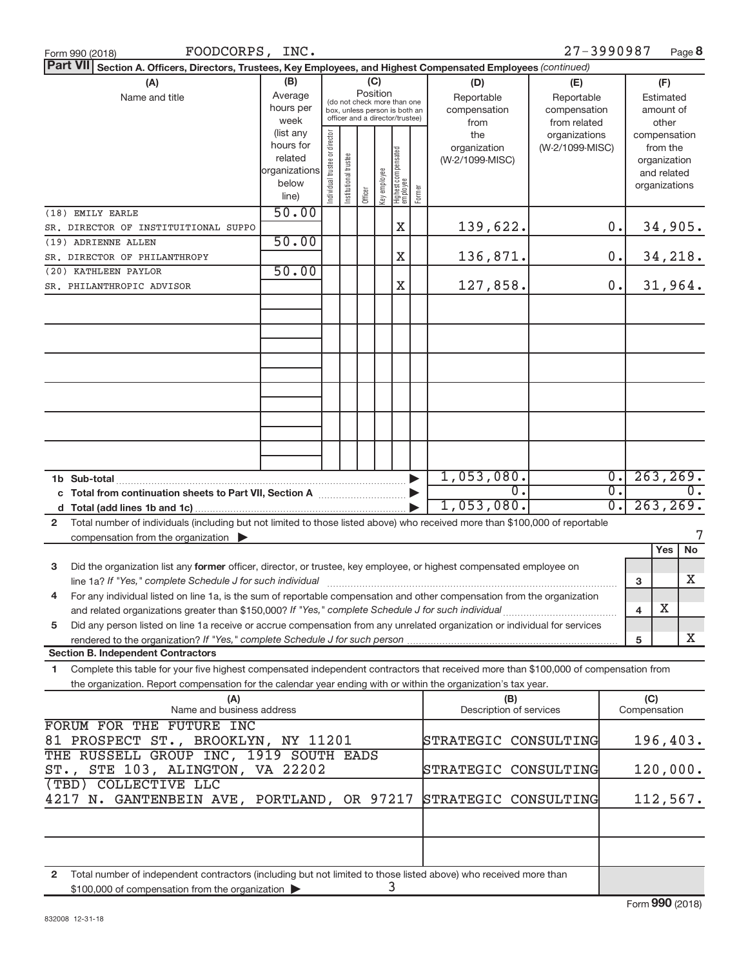| FOODCORPS, INC.<br>Form 990 (2018)                                                                                                                                                                       |                                                                      |                                |                       |         |                 |                                                                                                 |        |                                           | 27-3990987                                        |                  |                                                                          | Page 8    |
|----------------------------------------------------------------------------------------------------------------------------------------------------------------------------------------------------------|----------------------------------------------------------------------|--------------------------------|-----------------------|---------|-----------------|-------------------------------------------------------------------------------------------------|--------|-------------------------------------------|---------------------------------------------------|------------------|--------------------------------------------------------------------------|-----------|
| <b>Part VII</b><br>Section A. Officers, Directors, Trustees, Key Employees, and Highest Compensated Employees (continued)                                                                                |                                                                      |                                |                       |         |                 |                                                                                                 |        |                                           |                                                   |                  |                                                                          |           |
| (B)<br>(A)<br>Average<br>Name and title<br>hours per<br>week                                                                                                                                             |                                                                      |                                |                       |         | (C)<br>Position | (do not check more than one<br>box, unless person is both an<br>officer and a director/trustee) |        | (D)<br>Reportable<br>compensation<br>from | (E)<br>Reportable<br>compensation<br>from related |                  | (F)<br>Estimated<br>amount of<br>other                                   |           |
|                                                                                                                                                                                                          | (list any<br>hours for<br>related<br>organizations<br>below<br>line) | Individual trustee or director | Institutional trustee | Officer | Key employee    | Highest compensated<br>employee                                                                 | Former | the<br>organization<br>(W-2/1099-MISC)    | organizations<br>(W-2/1099-MISC)                  |                  | compensation<br>from the<br>organization<br>and related<br>organizations |           |
| (18) EMILY EARLE<br>SR. DIRECTOR OF INSTITUITIONAL SUPPO                                                                                                                                                 | 50.00                                                                |                                |                       |         |                 | Χ                                                                                               |        | 139,622.                                  |                                                   | 0.               |                                                                          | 34,905.   |
| (19) ADRIENNE ALLEN                                                                                                                                                                                      | 50.00                                                                |                                |                       |         |                 |                                                                                                 |        |                                           |                                                   |                  |                                                                          |           |
| SR. DIRECTOR OF PHILANTHROPY                                                                                                                                                                             |                                                                      |                                |                       |         |                 | Χ                                                                                               |        | 136,871.                                  |                                                   | 0.               |                                                                          | 34,218.   |
| (20) KATHLEEN PAYLOR                                                                                                                                                                                     | 50.00                                                                |                                |                       |         |                 |                                                                                                 |        |                                           |                                                   |                  |                                                                          |           |
| SR. PHILANTHROPIC ADVISOR                                                                                                                                                                                |                                                                      |                                |                       |         |                 | X                                                                                               |        | 127,858.                                  |                                                   | 0.               |                                                                          | 31,964.   |
|                                                                                                                                                                                                          |                                                                      |                                |                       |         |                 |                                                                                                 |        |                                           |                                                   |                  |                                                                          |           |
|                                                                                                                                                                                                          |                                                                      |                                |                       |         |                 |                                                                                                 |        |                                           |                                                   |                  |                                                                          |           |
|                                                                                                                                                                                                          |                                                                      |                                |                       |         |                 |                                                                                                 |        |                                           |                                                   |                  |                                                                          |           |
|                                                                                                                                                                                                          |                                                                      |                                |                       |         |                 |                                                                                                 |        |                                           |                                                   |                  |                                                                          |           |
|                                                                                                                                                                                                          |                                                                      |                                |                       |         |                 |                                                                                                 |        |                                           |                                                   |                  |                                                                          |           |
|                                                                                                                                                                                                          |                                                                      |                                |                       |         |                 |                                                                                                 |        |                                           |                                                   |                  |                                                                          |           |
|                                                                                                                                                                                                          |                                                                      |                                |                       |         |                 |                                                                                                 |        |                                           |                                                   |                  |                                                                          |           |
|                                                                                                                                                                                                          |                                                                      |                                |                       |         |                 |                                                                                                 |        |                                           |                                                   |                  |                                                                          |           |
|                                                                                                                                                                                                          |                                                                      |                                |                       |         |                 |                                                                                                 |        | 1,053,080.                                |                                                   | $\overline{0}$ . |                                                                          | 263, 269. |
| c Total from continuation sheets to Part VII, Section A [111] [2006]                                                                                                                                     |                                                                      |                                |                       |         |                 |                                                                                                 |        | $\overline{0}$ .                          |                                                   | $\overline{0}$ . |                                                                          | $0$ .     |
|                                                                                                                                                                                                          |                                                                      |                                |                       |         |                 |                                                                                                 |        | 1,053,080.                                |                                                   | $\overline{0}$ . |                                                                          | 263, 269. |
| Total number of individuals (including but not limited to those listed above) who received more than \$100,000 of reportable<br>$\mathbf{2}$<br>compensation from the organization $\blacktriangleright$ |                                                                      |                                |                       |         |                 |                                                                                                 |        |                                           |                                                   |                  |                                                                          |           |
|                                                                                                                                                                                                          |                                                                      |                                |                       |         |                 |                                                                                                 |        |                                           |                                                   |                  | Yes                                                                      | No        |
| Did the organization list any former officer, director, or trustee, key employee, or highest compensated employee on<br>3                                                                                |                                                                      |                                |                       |         |                 |                                                                                                 |        |                                           |                                                   |                  |                                                                          | X         |
| For any individual listed on line 1a, is the sum of reportable compensation and other compensation from the organization<br>4                                                                            |                                                                      |                                |                       |         |                 |                                                                                                 |        |                                           |                                                   |                  | 3                                                                        |           |
|                                                                                                                                                                                                          |                                                                      |                                |                       |         |                 |                                                                                                 |        |                                           |                                                   |                  | Х<br>4                                                                   |           |
| Did any person listed on line 1a receive or accrue compensation from any unrelated organization or individual for services<br>5                                                                          |                                                                      |                                |                       |         |                 |                                                                                                 |        |                                           |                                                   |                  |                                                                          |           |
| rendered to the organization? If "Yes," complete Schedule J for such person<br><b>Section B. Independent Contractors</b>                                                                                 |                                                                      |                                |                       |         |                 |                                                                                                 |        |                                           |                                                   |                  | 5                                                                        | X         |
| Complete this table for your five highest compensated independent contractors that received more than \$100,000 of compensation from<br>1                                                                |                                                                      |                                |                       |         |                 |                                                                                                 |        |                                           |                                                   |                  |                                                                          |           |
| the organization. Report compensation for the calendar year ending with or within the organization's tax year.                                                                                           |                                                                      |                                |                       |         |                 |                                                                                                 |        |                                           |                                                   |                  |                                                                          |           |
| (A)<br>Name and business address                                                                                                                                                                         |                                                                      |                                |                       |         |                 |                                                                                                 |        | (B)<br>Description of services            |                                                   |                  | (C)<br>Compensation                                                      |           |
| FORUM FOR THE FUTURE INC<br>81 PROSPECT ST., BROOKLYN, NY 11201                                                                                                                                          |                                                                      |                                |                       |         |                 |                                                                                                 |        | STRATEGIC CONSULTING                      |                                                   |                  |                                                                          | 196,403.  |
| THE RUSSELL GROUP INC, 1919 SOUTH EADS                                                                                                                                                                   |                                                                      |                                |                       |         |                 |                                                                                                 |        |                                           |                                                   |                  |                                                                          |           |
| ST., STE 103, ALINGTON, VA 22202                                                                                                                                                                         |                                                                      |                                |                       |         |                 |                                                                                                 |        | STRATEGIC CONSULTING                      |                                                   |                  |                                                                          | 120,000.  |
| (TBD) COLLECTIVE LLC<br>4217 N. GANTENBEIN AVE, PORTLAND, OR 97217                                                                                                                                       |                                                                      |                                |                       |         |                 |                                                                                                 |        | STRATEGIC CONSULTING                      |                                                   |                  |                                                                          | 112,567.  |
|                                                                                                                                                                                                          |                                                                      |                                |                       |         |                 |                                                                                                 |        |                                           |                                                   |                  |                                                                          |           |
|                                                                                                                                                                                                          |                                                                      |                                |                       |         |                 |                                                                                                 |        |                                           |                                                   |                  |                                                                          |           |
|                                                                                                                                                                                                          |                                                                      |                                |                       |         |                 |                                                                                                 |        |                                           |                                                   |                  |                                                                          |           |
| Total number of independent contractors (including but not limited to those listed above) who received more than<br>$\mathbf{2}$<br>\$100,000 of compensation from the organization                      |                                                                      |                                |                       |         |                 | 3                                                                                               |        |                                           |                                                   |                  |                                                                          |           |

\$100,000 of compensation from the organization  $\blacktriangleright$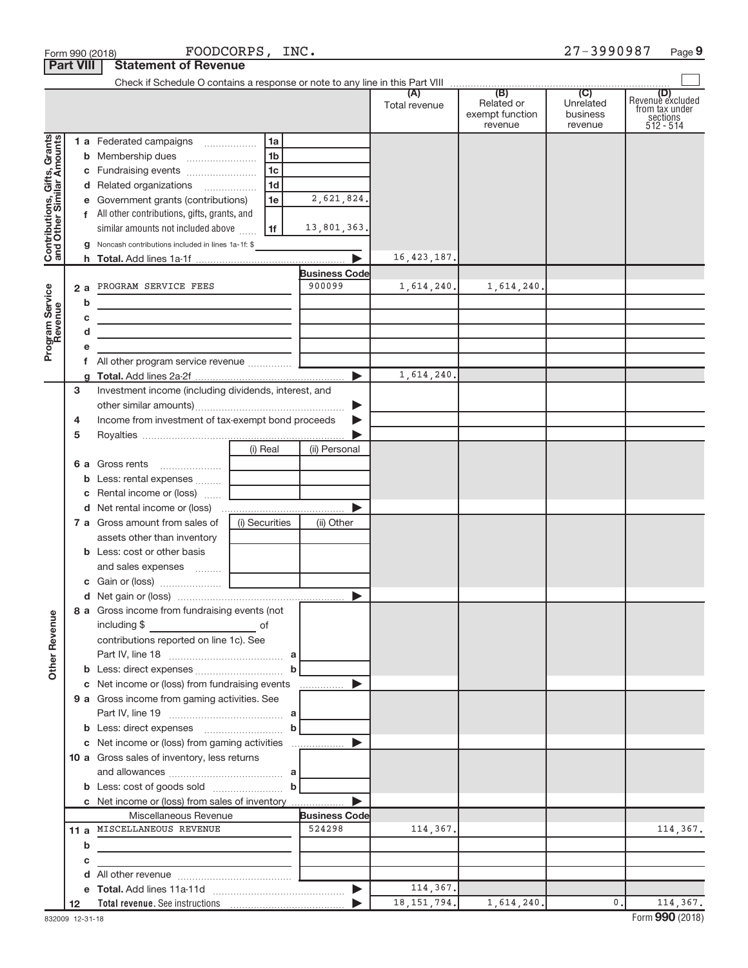|                                                           | FOODCORPS, INC.<br>Form 990 (2018) |                                                                                                                      |                      |                      |                      |                                                 | 27-3990987<br>Page 9                    |                                                                    |  |  |  |
|-----------------------------------------------------------|------------------------------------|----------------------------------------------------------------------------------------------------------------------|----------------------|----------------------|----------------------|-------------------------------------------------|-----------------------------------------|--------------------------------------------------------------------|--|--|--|
|                                                           | <b>Part VIII</b>                   | <b>Statement of Revenue</b>                                                                                          |                      |                      |                      |                                                 |                                         |                                                                    |  |  |  |
|                                                           |                                    |                                                                                                                      |                      |                      |                      |                                                 |                                         |                                                                    |  |  |  |
|                                                           |                                    |                                                                                                                      |                      |                      | (A)<br>Total revenue | (B)<br>Related or<br>exempt function<br>revenue | (C)<br>Unrelated<br>business<br>revenue | (D)<br>Revenue excluded<br>from tax under<br>sections<br>512 - 514 |  |  |  |
|                                                           |                                    | 1 a Federated campaigns                                                                                              | 1a                   |                      |                      |                                                 |                                         |                                                                    |  |  |  |
| Contributions, Gifts, Grants<br>and Other Similar Amounts |                                    |                                                                                                                      | 1 <sub>b</sub>       |                      |                      |                                                 |                                         |                                                                    |  |  |  |
|                                                           |                                    |                                                                                                                      | 1 <sub>c</sub>       |                      |                      |                                                 |                                         |                                                                    |  |  |  |
|                                                           |                                    | d Related organizations                                                                                              | 1 <sub>d</sub>       |                      |                      |                                                 |                                         |                                                                    |  |  |  |
|                                                           |                                    | e Government grants (contributions)                                                                                  | 1e                   | 2,621,824.           |                      |                                                 |                                         |                                                                    |  |  |  |
|                                                           |                                    | f All other contributions, gifts, grants, and                                                                        |                      |                      |                      |                                                 |                                         |                                                                    |  |  |  |
|                                                           |                                    | similar amounts not included above                                                                                   | 1f                   | 13,801,363.          |                      |                                                 |                                         |                                                                    |  |  |  |
|                                                           |                                    | g Noncash contributions included in lines 1a-1f: \$                                                                  |                      |                      |                      |                                                 |                                         |                                                                    |  |  |  |
|                                                           |                                    |                                                                                                                      |                      |                      | 16, 423, 187.        |                                                 |                                         |                                                                    |  |  |  |
|                                                           |                                    |                                                                                                                      | <b>Business Code</b> |                      |                      |                                                 |                                         |                                                                    |  |  |  |
|                                                           |                                    | 2 a PROGRAM SERVICE FEES                                                                                             |                      | 900099               | 1,614,240.           | 1,614,240.                                      |                                         |                                                                    |  |  |  |
|                                                           | b                                  | the control of the control of the control of the control of the control of                                           |                      |                      |                      |                                                 |                                         |                                                                    |  |  |  |
|                                                           | c                                  |                                                                                                                      |                      |                      |                      |                                                 |                                         |                                                                    |  |  |  |
| Program Service<br>Revenue                                | d                                  | the control of the control of the control of the control of the control of                                           |                      |                      |                      |                                                 |                                         |                                                                    |  |  |  |
|                                                           | e                                  |                                                                                                                      |                      |                      |                      |                                                 |                                         |                                                                    |  |  |  |
|                                                           |                                    |                                                                                                                      |                      |                      | 1,614,240.           |                                                 |                                         |                                                                    |  |  |  |
|                                                           | 3                                  | Investment income (including dividends, interest, and                                                                |                      |                      |                      |                                                 |                                         |                                                                    |  |  |  |
|                                                           |                                    |                                                                                                                      |                      |                      |                      |                                                 |                                         |                                                                    |  |  |  |
|                                                           | 4                                  | Income from investment of tax-exempt bond proceeds                                                                   |                      |                      |                      |                                                 |                                         |                                                                    |  |  |  |
|                                                           | 5                                  |                                                                                                                      |                      |                      |                      |                                                 |                                         |                                                                    |  |  |  |
|                                                           |                                    |                                                                                                                      | (i) Real             | (ii) Personal        |                      |                                                 |                                         |                                                                    |  |  |  |
|                                                           |                                    | 6 a Gross rents                                                                                                      |                      |                      |                      |                                                 |                                         |                                                                    |  |  |  |
|                                                           |                                    | <b>b</b> Less: rental expenses                                                                                       |                      |                      |                      |                                                 |                                         |                                                                    |  |  |  |
|                                                           |                                    | c Rental income or (loss)                                                                                            |                      |                      |                      |                                                 |                                         |                                                                    |  |  |  |
|                                                           |                                    | d Net rental income or (loss)                                                                                        |                      |                      |                      |                                                 |                                         |                                                                    |  |  |  |
|                                                           |                                    | 7 a Gross amount from sales of                                                                                       | (i) Securities       | (ii) Other           |                      |                                                 |                                         |                                                                    |  |  |  |
|                                                           |                                    | assets other than inventory                                                                                          |                      |                      |                      |                                                 |                                         |                                                                    |  |  |  |
|                                                           |                                    | <b>b</b> Less: cost or other basis                                                                                   |                      |                      |                      |                                                 |                                         |                                                                    |  |  |  |
|                                                           |                                    | and sales expenses                                                                                                   |                      |                      |                      |                                                 |                                         |                                                                    |  |  |  |
|                                                           |                                    |                                                                                                                      |                      |                      |                      |                                                 |                                         |                                                                    |  |  |  |
|                                                           |                                    |                                                                                                                      |                      |                      |                      |                                                 |                                         |                                                                    |  |  |  |
|                                                           |                                    | 8 a Gross income from fundraising events (not                                                                        |                      |                      |                      |                                                 |                                         |                                                                    |  |  |  |
|                                                           |                                    | including \$                                                                                                         |                      |                      |                      |                                                 |                                         |                                                                    |  |  |  |
|                                                           |                                    | contributions reported on line 1c). See                                                                              |                      |                      |                      |                                                 |                                         |                                                                    |  |  |  |
| <b>Other Revenue</b>                                      |                                    |                                                                                                                      |                      |                      |                      |                                                 |                                         |                                                                    |  |  |  |
|                                                           |                                    |                                                                                                                      | b                    |                      |                      |                                                 |                                         |                                                                    |  |  |  |
|                                                           |                                    | c Net income or (loss) from fundraising events<br>9 a Gross income from gaming activities. See                       |                      | .                    |                      |                                                 |                                         |                                                                    |  |  |  |
|                                                           |                                    |                                                                                                                      |                      |                      |                      |                                                 |                                         |                                                                    |  |  |  |
|                                                           |                                    |                                                                                                                      | b                    |                      |                      |                                                 |                                         |                                                                    |  |  |  |
|                                                           |                                    | c Net income or (loss) from gaming activities                                                                        |                      |                      |                      |                                                 |                                         |                                                                    |  |  |  |
|                                                           |                                    | 10 a Gross sales of inventory, less returns                                                                          |                      |                      |                      |                                                 |                                         |                                                                    |  |  |  |
|                                                           |                                    |                                                                                                                      |                      |                      |                      |                                                 |                                         |                                                                    |  |  |  |
|                                                           |                                    |                                                                                                                      | $\mathbf b$          |                      |                      |                                                 |                                         |                                                                    |  |  |  |
|                                                           |                                    | c Net income or (loss) from sales of inventory                                                                       |                      |                      |                      |                                                 |                                         |                                                                    |  |  |  |
|                                                           |                                    | Miscellaneous Revenue                                                                                                |                      | <b>Business Code</b> |                      |                                                 |                                         |                                                                    |  |  |  |
|                                                           |                                    | 11 a MISCELLANEOUS REVENUE                                                                                           |                      | 524298               | 114,367.             |                                                 |                                         | 114,367.                                                           |  |  |  |
|                                                           | b                                  | the company of the company of the company of the company of the company of the company of the company of the company |                      |                      |                      |                                                 |                                         |                                                                    |  |  |  |
|                                                           | C                                  |                                                                                                                      |                      |                      |                      |                                                 |                                         |                                                                    |  |  |  |
|                                                           | d                                  |                                                                                                                      |                      |                      |                      |                                                 |                                         |                                                                    |  |  |  |
|                                                           |                                    |                                                                                                                      |                      |                      | 114,367.             |                                                 |                                         |                                                                    |  |  |  |
| 12                                                        |                                    |                                                                                                                      |                      | 18, 151, 794.        | 1,614,240.           | 0.                                              | 114, 367.                               |                                                                    |  |  |  |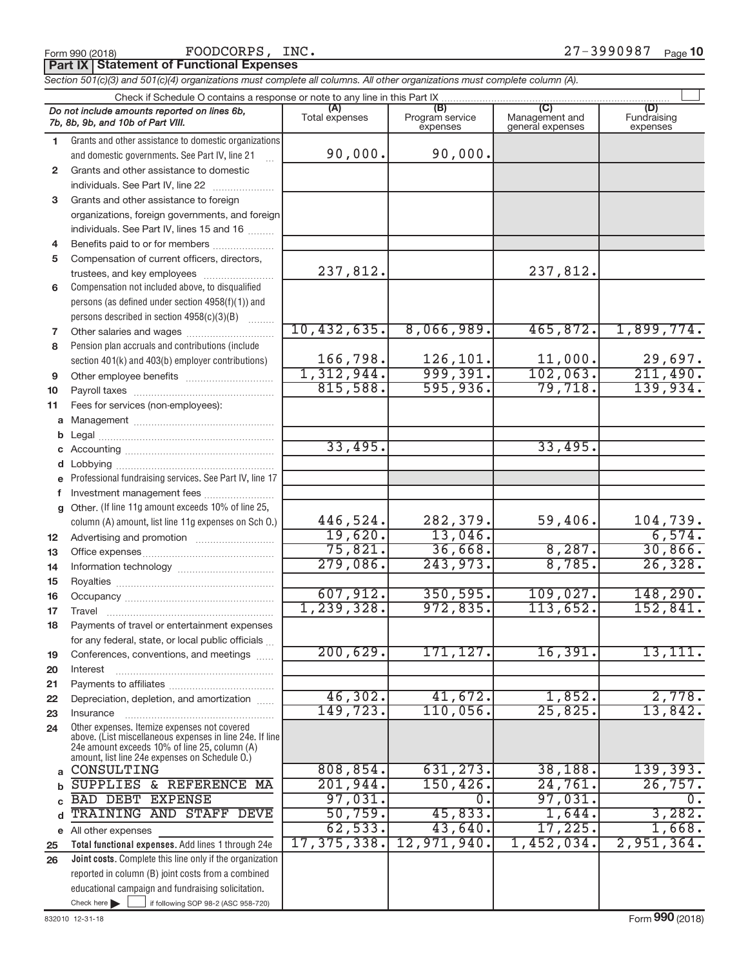**Part IX Statement of Functional Expenses**

*Section 501(c)(3) and 501(c)(4) organizations must complete all columns. All other organizations must complete column (A).*

| Check if Schedule O contains a response or note to any line in this Part IX |                                                                                                          |                       |                                    |                                           |                                |  |  |  |
|-----------------------------------------------------------------------------|----------------------------------------------------------------------------------------------------------|-----------------------|------------------------------------|-------------------------------------------|--------------------------------|--|--|--|
|                                                                             | Do not include amounts reported on lines 6b,<br>7b, 8b, 9b, and 10b of Part VIII.                        | (A)<br>Total expenses | (B)<br>Program service<br>expenses | (C)<br>Management and<br>general expenses | (D)<br>Fundraising<br>expenses |  |  |  |
| 1.                                                                          | Grants and other assistance to domestic organizations                                                    |                       |                                    |                                           |                                |  |  |  |
|                                                                             | and domestic governments. See Part IV, line 21                                                           | 90,000.               | 90,000.                            |                                           |                                |  |  |  |
| $\mathbf{2}$                                                                | Grants and other assistance to domestic                                                                  |                       |                                    |                                           |                                |  |  |  |
|                                                                             | individuals. See Part IV, line 22                                                                        |                       |                                    |                                           |                                |  |  |  |
| 3                                                                           | Grants and other assistance to foreign                                                                   |                       |                                    |                                           |                                |  |  |  |
|                                                                             | organizations, foreign governments, and foreign                                                          |                       |                                    |                                           |                                |  |  |  |
|                                                                             | individuals. See Part IV, lines 15 and 16                                                                |                       |                                    |                                           |                                |  |  |  |
| 4                                                                           | Benefits paid to or for members                                                                          |                       |                                    |                                           |                                |  |  |  |
| 5                                                                           | Compensation of current officers, directors,                                                             |                       |                                    |                                           |                                |  |  |  |
|                                                                             | trustees, and key employees                                                                              | 237,812.              |                                    | 237,812.                                  |                                |  |  |  |
| 6                                                                           | Compensation not included above, to disqualified                                                         |                       |                                    |                                           |                                |  |  |  |
|                                                                             | persons (as defined under section 4958(f)(1)) and                                                        |                       |                                    |                                           |                                |  |  |  |
|                                                                             | persons described in section 4958(c)(3)(B)                                                               |                       |                                    |                                           |                                |  |  |  |
| 7                                                                           | Other salaries and wages                                                                                 | 10,432,635.           | 8,066,989.                         | 465,872.                                  | 1,899,774.                     |  |  |  |
| 8                                                                           | Pension plan accruals and contributions (include                                                         |                       |                                    |                                           |                                |  |  |  |
|                                                                             | section 401(k) and 403(b) employer contributions)                                                        | 166,798.              | $\frac{126,101}{999,391}$          | 11,000.                                   | $\frac{29,697}{211,490}$       |  |  |  |
| 9                                                                           |                                                                                                          | 1,312,944.            |                                    | 102,063.                                  |                                |  |  |  |
| 10                                                                          |                                                                                                          | 815,588.              | 595,936.                           | 79,718.                                   | 139,934.                       |  |  |  |
| 11                                                                          | Fees for services (non-employees):                                                                       |                       |                                    |                                           |                                |  |  |  |
| a                                                                           |                                                                                                          |                       |                                    |                                           |                                |  |  |  |
| b                                                                           |                                                                                                          | 33,495.               |                                    | 33,495.                                   |                                |  |  |  |
|                                                                             |                                                                                                          |                       |                                    |                                           |                                |  |  |  |
|                                                                             | Lobbying<br>Professional fundraising services. See Part IV, line 17                                      |                       |                                    |                                           |                                |  |  |  |
|                                                                             | Investment management fees                                                                               |                       |                                    |                                           |                                |  |  |  |
| g                                                                           | Other. (If line 11g amount exceeds 10% of line 25,                                                       |                       |                                    |                                           |                                |  |  |  |
|                                                                             | column (A) amount, list line 11g expenses on Sch O.)                                                     | 446,524.              | 282,379.                           | 59,406.                                   | 104,739.                       |  |  |  |
| 12 <sup>2</sup>                                                             |                                                                                                          | 19,620.               | 13,046.                            |                                           | 6,574.                         |  |  |  |
| 13                                                                          |                                                                                                          | 75,821.               | 36,668.                            | 8,287.                                    | 30,866.                        |  |  |  |
| 14                                                                          |                                                                                                          | 279,086.              | 243,973.                           | 8,785.                                    | 26, 328.                       |  |  |  |
| 15                                                                          |                                                                                                          |                       |                                    |                                           |                                |  |  |  |
| 16                                                                          |                                                                                                          | 607,912.              | 350, 595.                          | 109,027.                                  | 148, 290.                      |  |  |  |
| 17                                                                          |                                                                                                          | 1,239,328.            | 972,835.                           | 113,652.                                  | 152,841.                       |  |  |  |
| 18                                                                          | Payments of travel or entertainment expenses                                                             |                       |                                    |                                           |                                |  |  |  |
|                                                                             | for any federal, state, or local public officials                                                        |                       |                                    |                                           |                                |  |  |  |
| 19                                                                          | Conferences, conventions, and meetings                                                                   | 200, 629.             | 171, 127.                          | 16,391.                                   | 13, 111.                       |  |  |  |
| 20                                                                          | Interest                                                                                                 |                       |                                    |                                           |                                |  |  |  |
| 21                                                                          |                                                                                                          |                       |                                    |                                           |                                |  |  |  |
| 22                                                                          | Depreciation, depletion, and amortization                                                                | 46,302.               | 41,672.                            | 1,852.                                    | 2,778.                         |  |  |  |
| 23                                                                          | Insurance                                                                                                | 149,723.              | 110,056.                           | 25,825.                                   | 13,842.                        |  |  |  |
| 24                                                                          | Other expenses. Itemize expenses not covered<br>above. (List miscellaneous expenses in line 24e. If line |                       |                                    |                                           |                                |  |  |  |
|                                                                             | 24e amount exceeds 10% of line 25, column (A)                                                            |                       |                                    |                                           |                                |  |  |  |
|                                                                             | amount, list line 24e expenses on Schedule O.)                                                           |                       | 631, 273.                          |                                           |                                |  |  |  |
| a                                                                           | CONSULTING                                                                                               | 808, 854.             |                                    | 38,188.                                   | 139,393.                       |  |  |  |
|                                                                             | SUPPLIES & REFERENCE MA                                                                                  | 201,944.              | 150, 426.<br>0.                    | 24,761.                                   | 26,757.                        |  |  |  |
|                                                                             | <b>BAD DEBT EXPENSE</b><br>TRAINING AND STAFF DEVE                                                       | 97,031.<br>50,759.    | 45,833.                            | 97,031.<br>1,644.                         | 0.<br>3,282.                   |  |  |  |
|                                                                             |                                                                                                          | 62, 533.              | 43,640.                            | 17,225.                                   | 1,668.                         |  |  |  |
|                                                                             | e All other expenses<br>Total functional expenses. Add lines 1 through 24e                               | 17, 375, 338.         | 12,971,940.                        | 1,452,034.                                | 2,951,364.                     |  |  |  |
| 25<br>26                                                                    | Joint costs. Complete this line only if the organization                                                 |                       |                                    |                                           |                                |  |  |  |
|                                                                             | reported in column (B) joint costs from a combined                                                       |                       |                                    |                                           |                                |  |  |  |
|                                                                             | educational campaign and fundraising solicitation.                                                       |                       |                                    |                                           |                                |  |  |  |
|                                                                             | Check here $\blacktriangleright$<br>if following SOP 98-2 (ASC 958-720)                                  |                       |                                    |                                           |                                |  |  |  |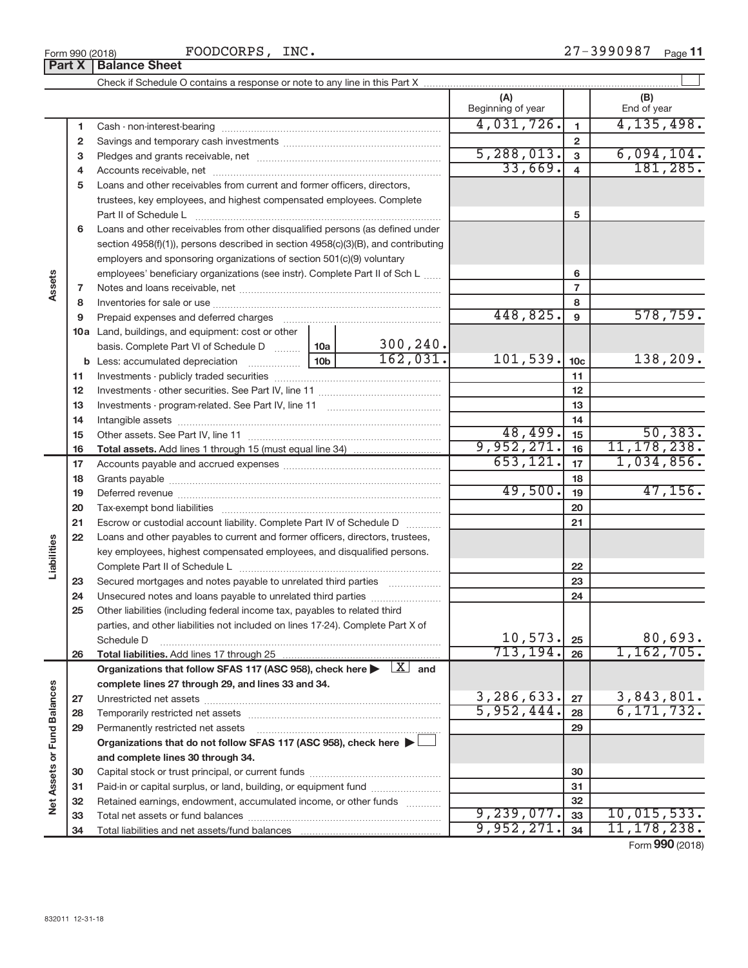27-3990987 Page 11

|                             |    |                                                                                                                                     |                                                                             |           | (A)<br>Beginning of year<br>4,031,726. |                 | (B)<br>End of year |  |
|-----------------------------|----|-------------------------------------------------------------------------------------------------------------------------------------|-----------------------------------------------------------------------------|-----------|----------------------------------------|-----------------|--------------------|--|
|                             | 1  |                                                                                                                                     |                                                                             |           |                                        | $\overline{1}$  | 4, 135, 498.       |  |
|                             | 2  |                                                                                                                                     |                                                                             |           |                                        | $\mathbf{2}$    |                    |  |
|                             | 3  |                                                                                                                                     |                                                                             |           | 5,288,013.                             | $\mathbf{3}$    | 6,094,104.         |  |
|                             | 4  |                                                                                                                                     |                                                                             | 33,669.   | $\overline{4}$                         | 181, 285.       |                    |  |
|                             | 5  | Loans and other receivables from current and former officers, directors,                                                            |                                                                             |           |                                        |                 |                    |  |
|                             |    | trustees, key employees, and highest compensated employees. Complete                                                                |                                                                             |           |                                        |                 |                    |  |
|                             |    |                                                                                                                                     |                                                                             |           |                                        | 5               |                    |  |
|                             | 6  | Loans and other receivables from other disqualified persons (as defined under                                                       |                                                                             |           |                                        |                 |                    |  |
|                             |    | section 4958(f)(1)), persons described in section 4958(c)(3)(B), and contributing                                                   |                                                                             |           |                                        |                 |                    |  |
|                             |    |                                                                                                                                     | employers and sponsoring organizations of section 501(c)(9) voluntary       |           |                                        |                 |                    |  |
|                             |    |                                                                                                                                     | employees' beneficiary organizations (see instr). Complete Part II of Sch L |           |                                        |                 |                    |  |
| Assets                      | 7  |                                                                                                                                     |                                                                             |           |                                        | $\overline{7}$  |                    |  |
|                             | 8  |                                                                                                                                     |                                                                             |           |                                        | 8               |                    |  |
|                             | 9  | Prepaid expenses and deferred charges                                                                                               |                                                                             |           | 448,825.                               | 9               | 578,759.           |  |
|                             |    | <b>10a</b> Land, buildings, and equipment: cost or other                                                                            |                                                                             |           |                                        |                 |                    |  |
|                             |    | basis. Complete Part VI of Schedule D                                                                                               | 10a                                                                         | 300, 240. |                                        |                 |                    |  |
|                             |    | <b>b</b> Less: accumulated depreciation                                                                                             | 10 <sub>b</sub>                                                             | 162,031.  | 101,539.                               | 10 <sub>c</sub> | 138,209.           |  |
|                             | 11 |                                                                                                                                     |                                                                             |           |                                        | 11              |                    |  |
|                             | 12 |                                                                                                                                     |                                                                             |           |                                        | 12              |                    |  |
|                             | 13 |                                                                                                                                     |                                                                             |           |                                        | 13              |                    |  |
|                             | 14 |                                                                                                                                     |                                                                             |           |                                        | 14              |                    |  |
|                             | 15 |                                                                                                                                     |                                                                             |           | $\frac{48,499}{9,952,271.}$            | 15              | 50, 383.           |  |
|                             | 16 |                                                                                                                                     |                                                                             |           |                                        | 16              | 11, 178, 238.      |  |
|                             | 17 |                                                                                                                                     | 653, 121.                                                                   | 17        | 1,034,856.                             |                 |                    |  |
|                             | 18 |                                                                                                                                     |                                                                             |           | 18                                     |                 |                    |  |
|                             | 19 |                                                                                                                                     |                                                                             |           | 49,500.                                | 19              | 47, 156.           |  |
|                             | 20 |                                                                                                                                     |                                                                             | 20        |                                        |                 |                    |  |
|                             | 21 | Escrow or custodial account liability. Complete Part IV of Schedule D                                                               |                                                                             | 21        |                                        |                 |                    |  |
| Liabilities                 | 22 | Loans and other payables to current and former officers, directors, trustees,                                                       |                                                                             |           |                                        |                 |                    |  |
|                             |    | key employees, highest compensated employees, and disqualified persons.                                                             |                                                                             |           |                                        |                 |                    |  |
|                             |    |                                                                                                                                     |                                                                             | 22        |                                        |                 |                    |  |
|                             | 23 | Secured mortgages and notes payable to unrelated third parties                                                                      |                                                                             | 23        |                                        |                 |                    |  |
|                             | 24 | Unsecured notes and loans payable to unrelated third parties                                                                        |                                                                             | 24        |                                        |                 |                    |  |
|                             | 25 | Other liabilities (including federal income tax, payables to related third                                                          |                                                                             |           |                                        |                 |                    |  |
|                             |    | parties, and other liabilities not included on lines 17-24). Complete Part X of                                                     | 10,573.                                                                     | 25        | 80,693.                                |                 |                    |  |
|                             | 26 | Schedule D                                                                                                                          | 713, 194.                                                                   | 26        | 1,162,705.                             |                 |                    |  |
|                             |    | Organizations that follow SFAS 117 (ASC 958), check here $\blacktriangleright \begin{array}{ c } \hline X & \hline \end{array}$ and |                                                                             |           |                                        |                 |                    |  |
|                             |    | complete lines 27 through 29, and lines 33 and 34.                                                                                  |                                                                             |           |                                        |                 |                    |  |
| Net Assets or Fund Balances | 27 |                                                                                                                                     |                                                                             |           | 3,286,633.                             | 27              | 3,843,801.         |  |
|                             | 28 |                                                                                                                                     | 5,952,444.                                                                  | 28        | 6, 171, 732.                           |                 |                    |  |
|                             | 29 | Permanently restricted net assets                                                                                                   |                                                                             | 29        |                                        |                 |                    |  |
|                             |    | Organizations that do not follow SFAS 117 (ASC 958), check here $\blacktriangleright$                                               |                                                                             |           |                                        |                 |                    |  |
|                             |    | and complete lines 30 through 34.                                                                                                   |                                                                             |           |                                        |                 |                    |  |
|                             | 30 |                                                                                                                                     |                                                                             | 30        |                                        |                 |                    |  |
|                             | 31 | Paid-in or capital surplus, or land, building, or equipment fund                                                                    |                                                                             | 31        |                                        |                 |                    |  |
|                             | 32 | Retained earnings, endowment, accumulated income, or other funds                                                                    |                                                                             |           |                                        | 32              |                    |  |
|                             | 33 |                                                                                                                                     |                                                                             |           | 9,239,077.                             | 33              | 10,015,533.        |  |
|                             | 34 |                                                                                                                                     |                                                                             |           | 9,952,271.                             | 34              | 11, 178, 238.      |  |
|                             |    |                                                                                                                                     |                                                                             |           |                                        |                 | Form 990 (2018)    |  |

Form 990 (2018) Page Product Page Product Product Page Product Page Product Page P **Part X** | Balance Sheet FOODCORPS, INC.